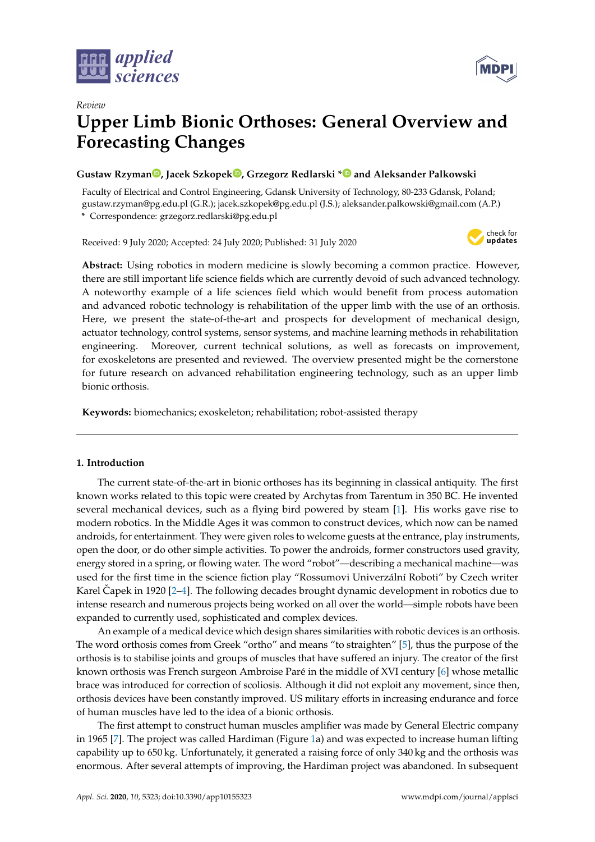



# *Review* **Upper Limb Bionic Orthoses: General Overview and Forecasting Changes**

# **Gustaw Rzyma[n](https://orcid.org/0000-0001-6677-8104) , Jacek Szkopek [,](https://orcid.org/0000-0002-7199-0596) Grzegorz Redlarski [\\*](https://orcid.org/0000-0003-1597-5145) and Aleksander Palkowski**

Faculty of Electrical and Control Engineering, Gdansk University of Technology, 80-233 Gdansk, Poland; gustaw.rzyman@pg.edu.pl (G.R.); jacek.szkopek@pg.edu.pl (J.S.); aleksander.palkowski@gmail.com (A.P.) **\*** Correspondence: grzegorz.redlarski@pg.edu.pl

Received: 9 July 2020; Accepted: 24 July 2020; Published: 31 July 2020



**Abstract:** Using robotics in modern medicine is slowly becoming a common practice. However, there are still important life science fields which are currently devoid of such advanced technology. A noteworthy example of a life sciences field which would benefit from process automation and advanced robotic technology is rehabilitation of the upper limb with the use of an orthosis. Here, we present the state-of-the-art and prospects for development of mechanical design, actuator technology, control systems, sensor systems, and machine learning methods in rehabilitation engineering. Moreover, current technical solutions, as well as forecasts on improvement, for exoskeletons are presented and reviewed. The overview presented might be the cornerstone for future research on advanced rehabilitation engineering technology, such as an upper limb bionic orthosis.

**Keywords:** biomechanics; exoskeleton; rehabilitation; robot-assisted therapy

# **1. Introduction**

The current state-of-the-art in bionic orthoses has its beginning in classical antiquity. The first known works related to this topic were created by Archytas from Tarentum in 350 BC. He invented several mechanical devices, such as a flying bird powered by steam [\[1\]](#page-13-0). His works gave rise to modern robotics. In the Middle Ages it was common to construct devices, which now can be named androids, for entertainment. They were given roles to welcome guests at the entrance, play instruments, open the door, or do other simple activities. To power the androids, former constructors used gravity, energy stored in a spring, or flowing water. The word "robot"—describing a mechanical machine—was used for the first time in the science fiction play "Rossumovi Univerzální Roboti" by Czech writer Karel Capek in 1920 [[2–](#page-13-1)[4\]](#page-13-2). The following decades brought dynamic development in robotics due to intense research and numerous projects being worked on all over the world—simple robots have been expanded to currently used, sophisticated and complex devices.

An example of a medical device which design shares similarities with robotic devices is an orthosis. The word orthosis comes from Greek "ortho" and means "to straighten" [\[5\]](#page-13-3), thus the purpose of the orthosis is to stabilise joints and groups of muscles that have suffered an injury. The creator of the first known orthosis was French surgeon Ambroise Paré in the middle of XVI century [\[6\]](#page-13-4) whose metallic brace was introduced for correction of scoliosis. Although it did not exploit any movement, since then, orthosis devices have been constantly improved. US military efforts in increasing endurance and force of human muscles have led to the idea of a bionic orthosis.

The first attempt to construct human muscles amplifier was made by General Electric company in 1965 [\[7\]](#page-13-5). The project was called Hardiman (Figure [1a](#page-1-0)) and was expected to increase human lifting capability up to 650 kg. Unfortunately, it generated a raising force of only 340 kg and the orthosis was enormous. After several attempts of improving, the Hardiman project was abandoned. In subsequent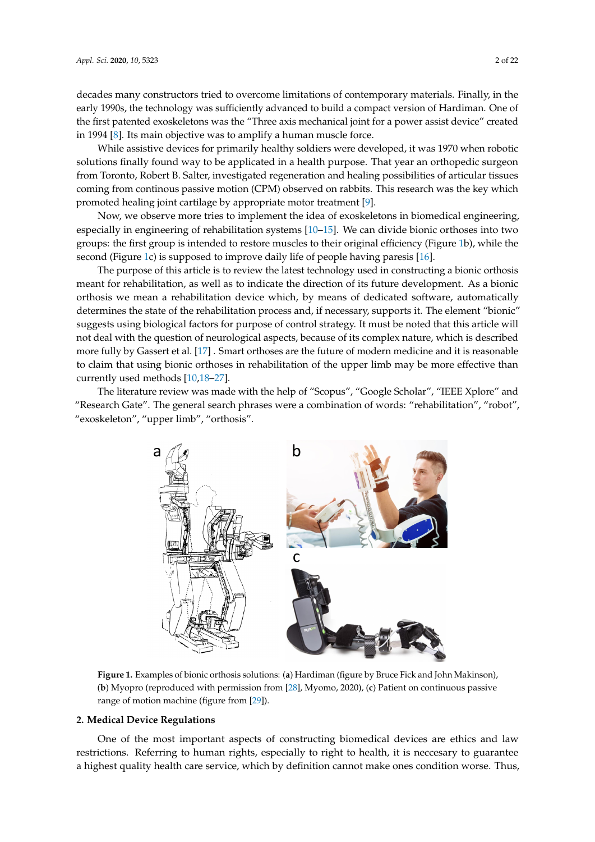decades many constructors tried to overcome limitations of contemporary materials. Finally, in the early 1990s, the technology was sufficiently advanced to build a compact version of Hardiman. One of the first patented exoskeletons was the "Three axis mechanical joint for a power assist device" created in 1994 [\[8\]](#page-13-6). Its main objective was to amplify a human muscle force.

While assistive devices for primarily healthy soldiers were developed, it was 1970 when robotic solutions finally found way to be applicated in a health purpose. That year an orthopedic surgeon from Toronto, Robert B. Salter, investigated regeneration and healing possibilities of articular tissues coming from continous passive motion (CPM) observed on rabbits. This research was the key which promoted healing joint cartilage by appropriate motor treatment [\[9\]](#page-13-7).

Now, we observe more tries to implement the idea of exoskeletons in biomedical engineering, especially in engineering of rehabilitation systems [\[10](#page-13-8)[–15\]](#page-13-9). We can divide bionic orthoses into two groups: the first group is intended to restore muscles to their original efficiency (Figure [1b](#page-1-0)), while the second (Figure [1c](#page-1-0)) is supposed to improve daily life of people having paresis [\[16\]](#page-13-10).

The purpose of this article is to review the latest technology used in constructing a bionic orthosis meant for rehabilitation, as well as to indicate the direction of its future development. As a bionic orthosis we mean a rehabilitation device which, by means of dedicated software, automatically determines the state of the rehabilitation process and, if necessary, supports it. The element "bionic" suggests using biological factors for purpose of control strategy. It must be noted that this article will not deal with the question of neurological aspects, because of its complex nature, which is described more fully by Gassert et al. [\[17\]](#page-14-0) . Smart orthoses are the future of modern medicine and it is reasonable to claim that using bionic orthoses in rehabilitation of the upper limb may be more effective than currently used methods [\[10,](#page-13-8)[18–](#page-14-1)[27\]](#page-14-2).

<span id="page-1-0"></span>The literature review was made with the help of "Scopus", "Google Scholar", "IEEE Xplore" and "Research Gate". The general search phrases were a combination of words: "rehabilitation", "robot", "exoskeleton", "upper limb", "orthosis".



**Figure 1.** Examples of bionic orthosis solutions: (**a**) Hardiman (figure by Bruce Fick and John Makinson), (**b**) Myopro (reproduced with permission from [\[28\]](#page-14-3), Myomo, 2020), (**c**) Patient on continuous passive range of motion machine (figure from [\[29\]](#page-14-4)).

#### **2. Medical Device Regulations**

One of the most important aspects of constructing biomedical devices are ethics and law restrictions. Referring to human rights, especially to right to health, it is neccesary to guarantee a highest quality health care service, which by definition cannot make ones condition worse. Thus,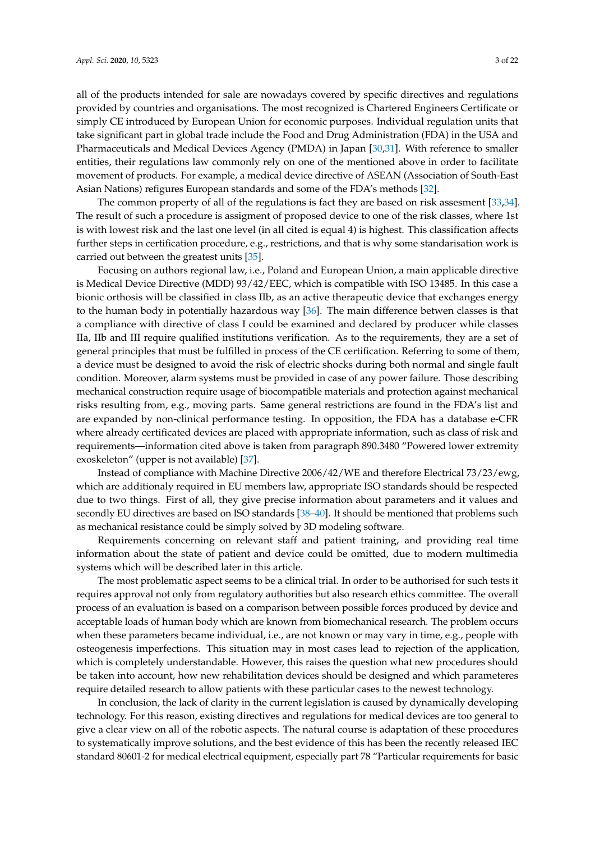all of the products intended for sale are nowadays covered by specific directives and regulations provided by countries and organisations. The most recognized is Chartered Engineers Certificate or simply CE introduced by European Union for economic purposes. Individual regulation units that take significant part in global trade include the Food and Drug Administration (FDA) in the USA and Pharmaceuticals and Medical Devices Agency (PMDA) in Japan [\[30,](#page-14-5)[31\]](#page-14-6). With reference to smaller entities, their regulations law commonly rely on one of the mentioned above in order to facilitate movement of products. For example, a medical device directive of ASEAN (Association of South-East Asian Nations) refigures European standards and some of the FDA's methods [\[32\]](#page-14-7).

The common property of all of the regulations is fact they are based on risk assesment [\[33,](#page-14-8)[34\]](#page-14-9). The result of such a procedure is assigment of proposed device to one of the risk classes, where 1st is with lowest risk and the last one level (in all cited is equal 4) is highest. This classification affects further steps in certification procedure, e.g., restrictions, and that is why some standarisation work is carried out between the greatest units [\[35\]](#page-14-10).

Focusing on authors regional law, i.e., Poland and European Union, a main applicable directive is Medical Device Directive (MDD) 93/42/EEC, which is compatible with ISO 13485. In this case a bionic orthosis will be classified in class IIb, as an active therapeutic device that exchanges energy to the human body in potentially hazardous way [\[36\]](#page-14-11). The main difference betwen classes is that a compliance with directive of class I could be examined and declared by producer while classes IIa, IIb and III require qualified institutions verification. As to the requirements, they are a set of general principles that must be fulfilled in process of the CE certification. Referring to some of them, a device must be designed to avoid the risk of electric shocks during both normal and single fault condition. Moreover, alarm systems must be provided in case of any power failure. Those describing mechanical construction require usage of biocompatible materials and protection against mechanical risks resulting from, e.g., moving parts. Same general restrictions are found in the FDA's list and are expanded by non-clinical performance testing. In opposition, the FDA has a database e-CFR where already certificated devices are placed with appropriate information, such as class of risk and requirements—information cited above is taken from paragraph 890.3480 "Powered lower extremity exoskeleton" (upper is not available) [\[37\]](#page-14-12).

Instead of compliance with Machine Directive 2006/42/WE and therefore Electrical 73/23/ewg, which are additionaly required in EU members law, appropriate ISO standards should be respected due to two things. First of all, they give precise information about parameters and it values and secondly EU directives are based on ISO standards [\[38](#page-14-13)[–40\]](#page-15-0). It should be mentioned that problems such as mechanical resistance could be simply solved by 3D modeling software.

Requirements concerning on relevant staff and patient training, and providing real time information about the state of patient and device could be omitted, due to modern multimedia systems which will be described later in this article.

The most problematic aspect seems to be a clinical trial. In order to be authorised for such tests it requires approval not only from regulatory authorities but also research ethics committee. The overall process of an evaluation is based on a comparison between possible forces produced by device and acceptable loads of human body which are known from biomechanical research. The problem occurs when these parameters became individual, i.e., are not known or may vary in time, e.g., people with osteogenesis imperfections. This situation may in most cases lead to rejection of the application, which is completely understandable. However, this raises the question what new procedures should be taken into account, how new rehabilitation devices should be designed and which parameteres require detailed research to allow patients with these particular cases to the newest technology.

In conclusion, the lack of clarity in the current legislation is caused by dynamically developing technology. For this reason, existing directives and regulations for medical devices are too general to give a clear view on all of the robotic aspects. The natural course is adaptation of these procedures to systematically improve solutions, and the best evidence of this has been the recently released IEC standard 80601-2 for medical electrical equipment, especially part 78 "Particular requirements for basic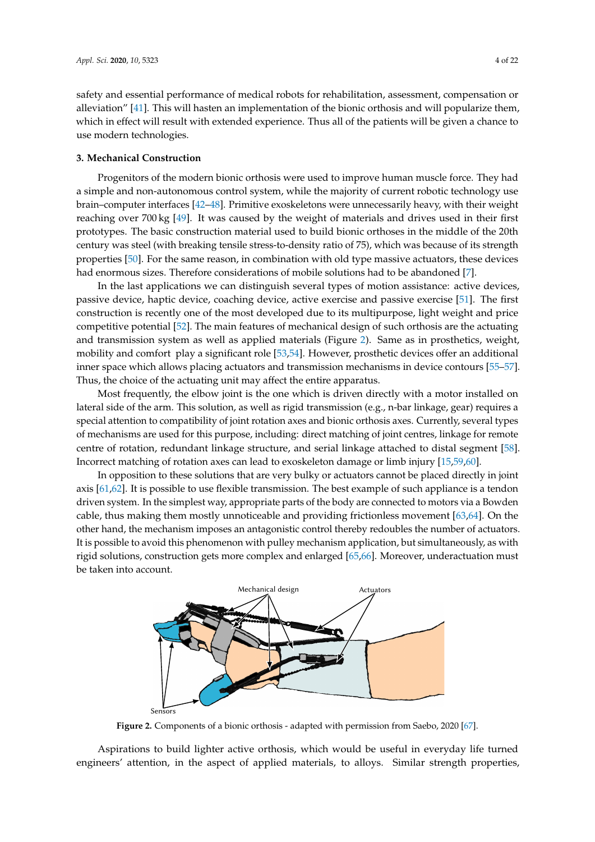safety and essential performance of medical robots for rehabilitation, assessment, compensation or alleviation" [\[41\]](#page-15-1). This will hasten an implementation of the bionic orthosis and will popularize them, which in effect will result with extended experience. Thus all of the patients will be given a chance to use modern technologies.

## **3. Mechanical Construction**

Progenitors of the modern bionic orthosis were used to improve human muscle force. They had a simple and non-autonomous control system, while the majority of current robotic technology use brain–computer interfaces [\[42](#page-15-2)[–48\]](#page-15-3). Primitive exoskeletons were unnecessarily heavy, with their weight reaching over 700 kg [\[49\]](#page-15-4). It was caused by the weight of materials and drives used in their first prototypes. The basic construction material used to build bionic orthoses in the middle of the 20th century was steel (with breaking tensile stress-to-density ratio of 75), which was because of its strength properties [\[50\]](#page-15-5). For the same reason, in combination with old type massive actuators, these devices had enormous sizes. Therefore considerations of mobile solutions had to be abandoned [\[7\]](#page-13-5).

In the last applications we can distinguish several types of motion assistance: active devices, passive device, haptic device, coaching device, active exercise and passive exercise [\[51\]](#page-15-6). The first construction is recently one of the most developed due to its multipurpose, light weight and price competitive potential [\[52\]](#page-15-7). The main features of mechanical design of such orthosis are the actuating and transmission system as well as applied materials (Figure [2\)](#page-3-0). Same as in prosthetics, weight, mobility and comfort play a significant role [\[53,](#page-15-8)[54\]](#page-15-9). However, prosthetic devices offer an additional inner space which allows placing actuators and transmission mechanisms in device contours [\[55–](#page-15-10)[57\]](#page-15-11). Thus, the choice of the actuating unit may affect the entire apparatus.

Most frequently, the elbow joint is the one which is driven directly with a motor installed on lateral side of the arm. This solution, as well as rigid transmission (e.g., n-bar linkage, gear) requires a special attention to compatibility of joint rotation axes and bionic orthosis axes. Currently, several types of mechanisms are used for this purpose, including: direct matching of joint centres, linkage for remote centre of rotation, redundant linkage structure, and serial linkage attached to distal segment [\[58\]](#page-15-12). Incorrect matching of rotation axes can lead to exoskeleton damage or limb injury [\[15](#page-13-9)[,59](#page-15-13)[,60\]](#page-16-0).

In opposition to these solutions that are very bulky or actuators cannot be placed directly in joint axis [\[61](#page-16-1)[,62\]](#page-16-2). It is possible to use flexible transmission. The best example of such appliance is a tendon driven system. In the simplest way, appropriate parts of the body are connected to motors via a Bowden cable, thus making them mostly unnoticeable and providing frictionless movement [\[63](#page-16-3)[,64\]](#page-16-4). On the other hand, the mechanism imposes an antagonistic control thereby redoubles the number of actuators. It is possible to avoid this phenomenon with pulley mechanism application, but simultaneously, as with rigid solutions, construction gets more complex and enlarged [\[65,](#page-16-5)[66\]](#page-16-6). Moreover, underactuation must be taken into account.

<span id="page-3-0"></span>

**Figure 2.** Components of a bionic orthosis - adapted with permission from Saebo, 2020 [\[67\]](#page-16-7).

Aspirations to build lighter active orthosis, which would be useful in everyday life turned engineers' attention, in the aspect of applied materials, to alloys. Similar strength properties,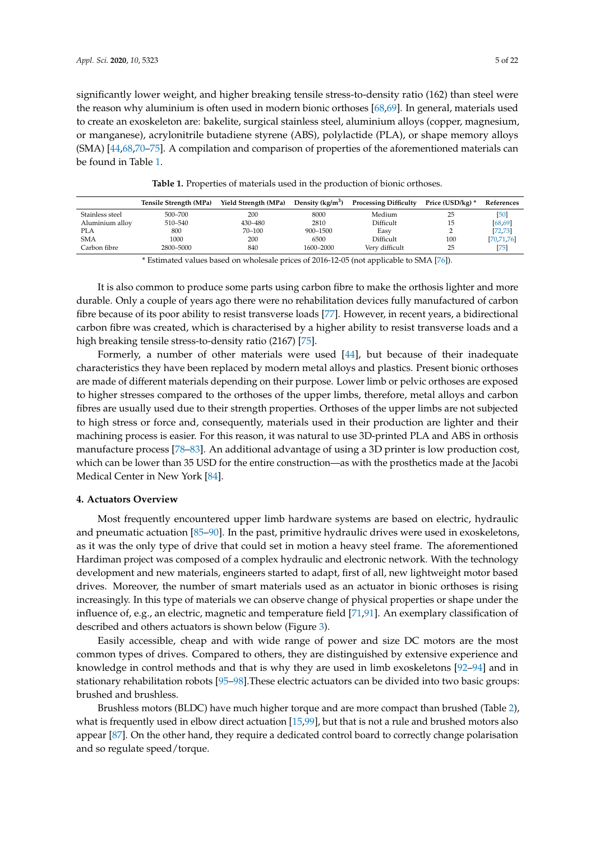significantly lower weight, and higher breaking tensile stress-to-density ratio (162) than steel were the reason why aluminium is often used in modern bionic orthoses [\[68,](#page-16-8)[69\]](#page-16-9). In general, materials used to create an exoskeleton are: bakelite, surgical stainless steel, aluminium alloys (copper, magnesium, or manganese), acrylonitrile butadiene styrene (ABS), polylactide (PLA), or shape memory alloys (SMA) [\[44](#page-15-14)[,68](#page-16-8)[,70](#page-16-10)[–75\]](#page-16-11). A compilation and comparison of properties of the aforementioned materials can be found in Table [1.](#page-4-0)

**Table 1.** Properties of materials used in the production of bionic orthoses.

<span id="page-4-0"></span>

|                 | Tensile Strength (MPa) | Yield Strength (MPa) | Density $(kg/m^3)$ | <b>Processing Difficulty</b> | Price (USD/kg) * | References   |
|-----------------|------------------------|----------------------|--------------------|------------------------------|------------------|--------------|
| Stainless steel | 500-700                | 200                  | 8000               | Medium                       |                  | [50]         |
| Aluminium alloy | 510-540                | 430-480              | 2810               | Difficult                    |                  | 68,69        |
| <b>PLA</b>      | 800                    | 70-100               | $900 - 1500$       | Easy                         |                  | [72, 73]     |
| <b>SMA</b>      | 1000                   | 200                  | 6500               | Difficult                    | 100              | [70, 71, 76] |
| Carbon fibre    | 2800-5000              | 840                  | 1600-2000          | Very difficult               | 25               | 751          |

\* Estimated values based on wholesale prices of 2016-12-05 (not applicable to SMA [\[76\]](#page-16-15)).

It is also common to produce some parts using carbon fibre to make the orthosis lighter and more durable. Only a couple of years ago there were no rehabilitation devices fully manufactured of carbon fibre because of its poor ability to resist transverse loads [\[77\]](#page-16-16). However, in recent years, a bidirectional carbon fibre was created, which is characterised by a higher ability to resist transverse loads and a high breaking tensile stress-to-density ratio (2167) [\[75\]](#page-16-11).

Formerly, a number of other materials were used [\[44\]](#page-15-14), but because of their inadequate characteristics they have been replaced by modern metal alloys and plastics. Present bionic orthoses are made of different materials depending on their purpose. Lower limb or pelvic orthoses are exposed to higher stresses compared to the orthoses of the upper limbs, therefore, metal alloys and carbon fibres are usually used due to their strength properties. Orthoses of the upper limbs are not subjected to high stress or force and, consequently, materials used in their production are lighter and their machining process is easier. For this reason, it was natural to use 3D-printed PLA and ABS in orthosis manufacture process [\[78](#page-16-17)[–83\]](#page-17-0). An additional advantage of using a 3D printer is low production cost, which can be lower than 35 USD for the entire construction—as with the prosthetics made at the Jacobi Medical Center in New York [\[84\]](#page-17-1).

## **4. Actuators Overview**

Most frequently encountered upper limb hardware systems are based on electric, hydraulic and pneumatic actuation [\[85–](#page-17-2)[90\]](#page-17-3). In the past, primitive hydraulic drives were used in exoskeletons, as it was the only type of drive that could set in motion a heavy steel frame. The aforementioned Hardiman project was composed of a complex hydraulic and electronic network. With the technology development and new materials, engineers started to adapt, first of all, new lightweight motor based drives. Moreover, the number of smart materials used as an actuator in bionic orthoses is rising increasingly. In this type of materials we can observe change of physical properties or shape under the influence of, e.g., an electric, magnetic and temperature field [\[71,](#page-16-14)[91\]](#page-17-4). An exemplary classification of described and others actuators is shown below (Figure [3\)](#page-5-0).

Easily accessible, cheap and with wide range of power and size DC motors are the most common types of drives. Compared to others, they are distinguished by extensive experience and knowledge in control methods and that is why they are used in limb exoskeletons [\[92–](#page-17-5)[94\]](#page-17-6) and in stationary rehabilitation robots [\[95–](#page-17-7)[98\]](#page-17-8).These electric actuators can be divided into two basic groups: brushed and brushless.

Brushless motors (BLDC) have much higher torque and are more compact than brushed (Table [2\)](#page-5-1), what is frequently used in elbow direct actuation [\[15](#page-13-9)[,99\]](#page-17-9), but that is not a rule and brushed motors also appear [\[87\]](#page-17-10). On the other hand, they require a dedicated control board to correctly change polarisation and so regulate speed/torque.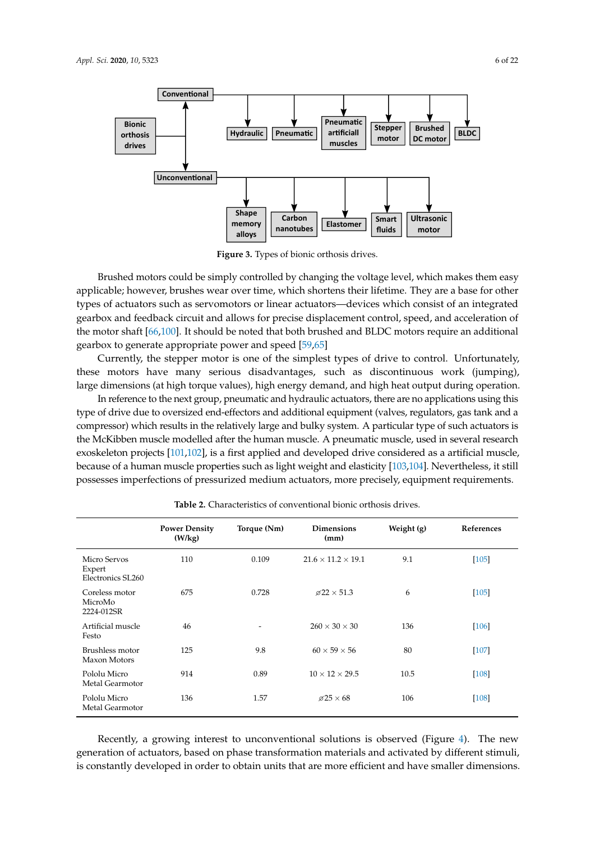<span id="page-5-0"></span>

**Figure 3.** Types of bionic orthosis drives.

Brushed motors could be simply controlled by changing the voltage level, which makes them easy applicable; however, brushes wear over time, which shortens their lifetime. They are a base for other types of actuators such as servomotors or linear actuators—devices which consist of an integrated gearbox and feedback circuit and allows for precise displacement control, speed, and acceleration of the motor shaft [\[66,](#page-16-6)[100\]](#page-17-11). It should be noted that both brushed and BLDC motors require an additional gearbox to generate appropriate power and speed [\[59,](#page-15-13)[65\]](#page-16-5)

Currently, the stepper motor is one of the simplest types of drive to control. Unfortunately, these motors have many serious disadvantages, such as discontinuous work (jumping), large dimensions (at high torque values), high energy demand, and high heat output during operation.

In reference to the next group, pneumatic and hydraulic actuators, there are no applications using this type of drive due to oversized end-effectors and additional equipment (valves, regulators, gas tank and a compressor) which results in the relatively large and bulky system. A particular type of such actuators is the McKibben muscle modelled after the human muscle. A pneumatic muscle, used in several research exoskeleton projects [\[101](#page-17-12)[,102\]](#page-17-13), is a first applied and developed drive considered as a artificial muscle, because of a human muscle properties such as light weight and elasticity [\[103](#page-17-14)[,104\]](#page-18-0). Nevertheless, it still possesses imperfections of pressurized medium actuators, more precisely, equipment requirements.

<span id="page-5-1"></span>

|                                             | <b>Power Density</b><br>(W/kg) | Torque (Nm) | <b>Dimensions</b><br>(mm)      | Weight (g) | References |
|---------------------------------------------|--------------------------------|-------------|--------------------------------|------------|------------|
| Micro Servos<br>Expert<br>Electronics SL260 | 110                            | 0.109       | $21.6 \times 11.2 \times 19.1$ | 9.1        | $[105]$    |
| Coreless motor<br>MicroMo<br>2224-012SR     | 675                            | 0.728       | $\varnothing$ 22 × 51.3        | 6          | $[105]$    |
| Artificial muscle<br>Festo                  | 46                             | ۰           | $260 \times 30 \times 30$      | 136        | $[106]$    |
| Brushless motor<br>Maxon Motors             | 125                            | 9.8         | $60 \times 59 \times 56$       | 80         | $[107]$    |
| Pololu Micro<br>Metal Gearmotor             | 914                            | 0.89        | $10 \times 12 \times 29.5$     | 10.5       | $[108]$    |
| Pololu Micro<br>Metal Gearmotor             | 136                            | 1.57        | $\varnothing$ 25 $\times$ 68   | 106        | $[108]$    |

**Table 2.** Characteristics of conventional bionic orthosis drives.

Recently, a growing interest to unconventional solutions is observed (Figure [4\)](#page-6-0). The new generation of actuators, based on phase transformation materials and activated by different stimuli, is constantly developed in order to obtain units that are more efficient and have smaller dimensions.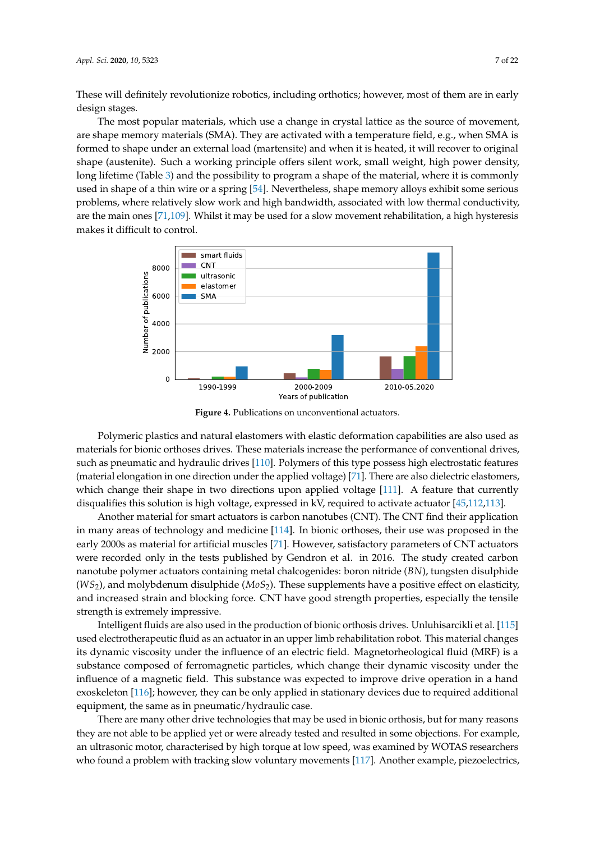These will definitely revolutionize robotics, including orthotics; however, most of them are in early design stages.

The most popular materials, which use a change in crystal lattice as the source of movement, are shape memory materials (SMA). They are activated with a temperature field, e.g., when SMA is formed to shape under an external load (martensite) and when it is heated, it will recover to original shape (austenite). Such a working principle offers silent work, small weight, high power density, long lifetime (Table [3\)](#page-7-0) and the possibility to program a shape of the material, where it is commonly used in shape of a thin wire or a spring [\[54\]](#page-15-9). Nevertheless, shape memory alloys exhibit some serious problems, where relatively slow work and high bandwidth, associated with low thermal conductivity, are the main ones [\[71](#page-16-14)[,109\]](#page-18-5). Whilst it may be used for a slow movement rehabilitation, a high hysteresis makes it difficult to control.

<span id="page-6-0"></span>

**Figure 4.** Publications on unconventional actuators.

Polymeric plastics and natural elastomers with elastic deformation capabilities are also used as materials for bionic orthoses drives. These materials increase the performance of conventional drives, such as pneumatic and hydraulic drives [\[110\]](#page-18-6). Polymers of this type possess high electrostatic features (material elongation in one direction under the applied voltage) [\[71\]](#page-16-14). There are also dielectric elastomers, which change their shape in two directions upon applied voltage [\[111\]](#page-18-7). A feature that currently disqualifies this solution is high voltage, expressed in kV, required to activate actuator [\[45,](#page-15-15)[112](#page-18-8)[,113\]](#page-18-9).

Another material for smart actuators is carbon nanotubes (CNT). The CNT find their application in many areas of technology and medicine [\[114\]](#page-18-10). In bionic orthoses, their use was proposed in the early 2000s as material for artificial muscles [\[71\]](#page-16-14). However, satisfactory parameters of CNT actuators were recorded only in the tests published by Gendron et al. in 2016. The study created carbon nanotube polymer actuators containing metal chalcogenides: boron nitride (*BN*), tungsten disulphide (*WS*2), and molybdenum disulphide (*MoS*2). These supplements have a positive effect on elasticity, and increased strain and blocking force. CNT have good strength properties, especially the tensile strength is extremely impressive.

Intelligent fluids are also used in the production of bionic orthosis drives. Unluhisarcikli et al. [\[115\]](#page-18-11) used electrotherapeutic fluid as an actuator in an upper limb rehabilitation robot. This material changes its dynamic viscosity under the influence of an electric field. Magnetorheological fluid (MRF) is a substance composed of ferromagnetic particles, which change their dynamic viscosity under the influence of a magnetic field. This substance was expected to improve drive operation in a hand exoskeleton [\[116\]](#page-18-12); however, they can be only applied in stationary devices due to required additional equipment, the same as in pneumatic/hydraulic case.

There are many other drive technologies that may be used in bionic orthosis, but for many reasons they are not able to be applied yet or were already tested and resulted in some objections. For example, an ultrasonic motor, characterised by high torque at low speed, was examined by WOTAS researchers who found a problem with tracking slow voluntary movements [\[117\]](#page-18-13). Another example, piezoelectrics,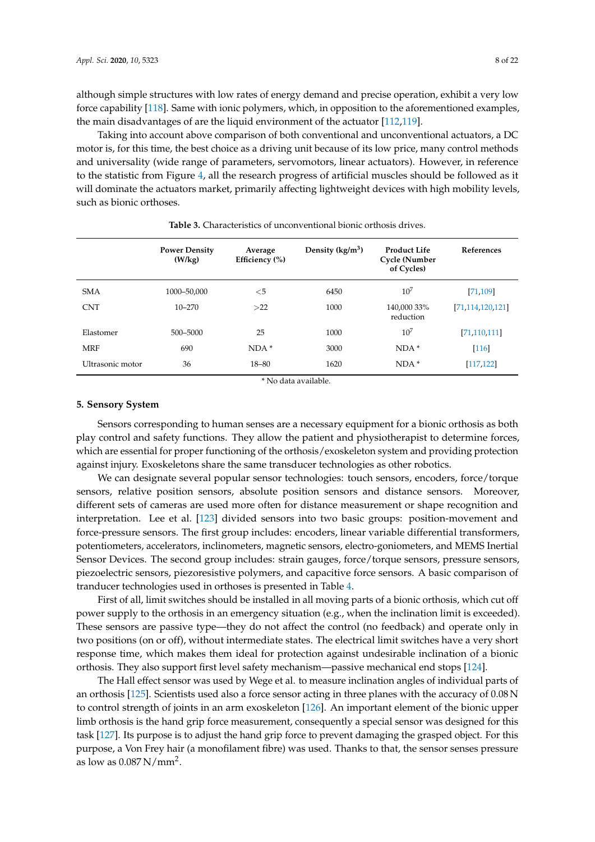although simple structures with low rates of energy demand and precise operation, exhibit a very low force capability [\[118\]](#page-18-14). Same with ionic polymers, which, in opposition to the aforementioned examples, the main disadvantages of are the liquid environment of the actuator [\[112](#page-18-8)[,119\]](#page-18-15).

Taking into account above comparison of both conventional and unconventional actuators, a DC motor is, for this time, the best choice as a driving unit because of its low price, many control methods and universality (wide range of parameters, servomotors, linear actuators). However, in reference to the statistic from Figure [4,](#page-6-0) all the research progress of artificial muscles should be followed as it will dominate the actuators market, primarily affecting lightweight devices with high mobility levels, such as bionic orthoses.

<span id="page-7-0"></span>

|                  | <b>Power Density</b><br>(W/kg) | Average<br>Efficiency $(\% )$ | Density $(kg/m^3)$ | <b>Product Life</b><br><b>Cycle</b> (Number<br>of Cycles) | <b>References</b>   |
|------------------|--------------------------------|-------------------------------|--------------------|-----------------------------------------------------------|---------------------|
| <b>SMA</b>       | 1000-50,000                    | $<$ 5                         | 6450               | $10^{7}$                                                  | [71, 109]           |
| <b>CNT</b>       | $10 - 270$                     | >22                           | 1000               | 140,000 33%<br>reduction                                  | [71, 114, 120, 121] |
| Elastomer        | 500-5000                       | 25                            | 1000               | $10^{7}$                                                  | [71, 110, 111]      |
| <b>MRF</b>       | 690                            | $NDA*$                        | 3000               | $NDA*$                                                    | $[116]$             |
| Ultrasonic motor | 36                             | 18-80                         | 1620               | $NDA*$                                                    | [117, 122]          |

**Table 3.** Characteristics of unconventional bionic orthosis drives.

\* No data available.

#### **5. Sensory System**

Sensors corresponding to human senses are a necessary equipment for a bionic orthosis as both play control and safety functions. They allow the patient and physiotherapist to determine forces, which are essential for proper functioning of the orthosis/exoskeleton system and providing protection against injury. Exoskeletons share the same transducer technologies as other robotics.

We can designate several popular sensor technologies: touch sensors, encoders, force/torque sensors, relative position sensors, absolute position sensors and distance sensors. Moreover, different sets of cameras are used more often for distance measurement or shape recognition and interpretation. Lee et al. [\[123\]](#page-18-19) divided sensors into two basic groups: position-movement and force-pressure sensors. The first group includes: encoders, linear variable differential transformers, potentiometers, accelerators, inclinometers, magnetic sensors, electro-goniometers, and MEMS Inertial Sensor Devices. The second group includes: strain gauges, force/torque sensors, pressure sensors, piezoelectric sensors, piezoresistive polymers, and capacitive force sensors. A basic comparison of tranducer technologies used in orthoses is presented in Table [4.](#page-8-0)

First of all, limit switches should be installed in all moving parts of a bionic orthosis, which cut off power supply to the orthosis in an emergency situation (e.g., when the inclination limit is exceeded). These sensors are passive type—they do not affect the control (no feedback) and operate only in two positions (on or off), without intermediate states. The electrical limit switches have a very short response time, which makes them ideal for protection against undesirable inclination of a bionic orthosis. They also support first level safety mechanism—passive mechanical end stops [\[124\]](#page-18-20).

The Hall effect sensor was used by Wege et al. to measure inclination angles of individual parts of an orthosis [\[125\]](#page-18-21). Scientists used also a force sensor acting in three planes with the accuracy of 0.08 N to control strength of joints in an arm exoskeleton [\[126\]](#page-18-22). An important element of the bionic upper limb orthosis is the hand grip force measurement, consequently a special sensor was designed for this task [\[127\]](#page-19-0). Its purpose is to adjust the hand grip force to prevent damaging the grasped object. For this purpose, a Von Frey hair (a monofilament fibre) was used. Thanks to that, the sensor senses pressure as low as  $0.087 \text{ N/mm}^2$ .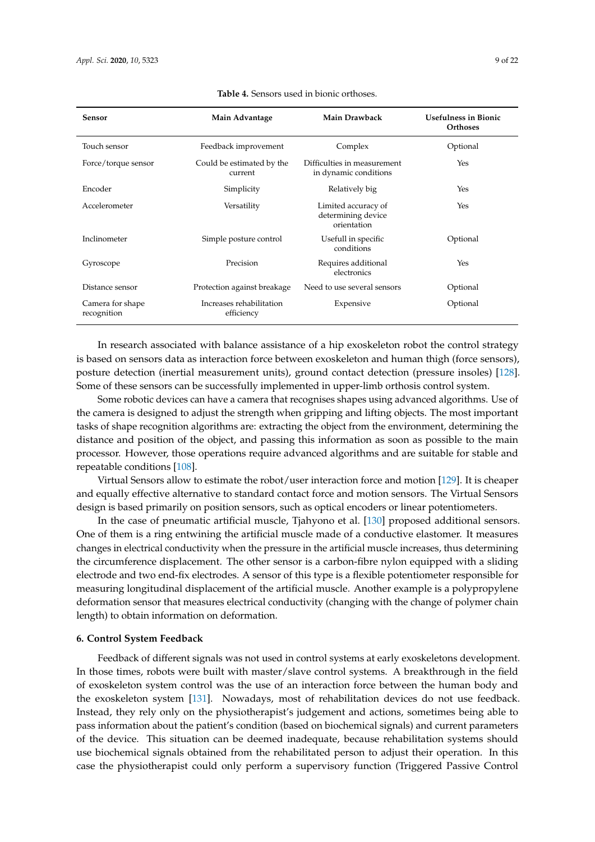<span id="page-8-0"></span>

| <b>Sensor</b>                   | Main Advantage                         | <b>Main Drawback</b>                                     | <b>Usefulness in Bionic</b><br>Orthoses |
|---------------------------------|----------------------------------------|----------------------------------------------------------|-----------------------------------------|
| Touch sensor                    | Feedback improvement                   | Complex                                                  | Optional                                |
| Force/torque sensor             | Could be estimated by the<br>current   | Difficulties in measurement<br>in dynamic conditions     | Yes                                     |
| Encoder                         | Simplicity                             | Relatively big                                           | Yes                                     |
| Accelerometer                   | Versatility                            | Limited accuracy of<br>determining device<br>orientation | Yes                                     |
| Inclinometer                    | Simple posture control                 | Usefull in specific<br>conditions                        | Optional                                |
| Gyroscope                       | Precision                              | Requires additional<br>electronics                       | Yes                                     |
| Distance sensor                 | Protection against breakage            | Need to use several sensors                              | Optional                                |
| Camera for shape<br>recognition | Increases rehabilitation<br>efficiency | Expensive                                                | Optional                                |

#### **Table 4.** Sensors used in bionic orthoses.

In research associated with balance assistance of a hip exoskeleton robot the control strategy is based on sensors data as interaction force between exoskeleton and human thigh (force sensors), posture detection (inertial measurement units), ground contact detection (pressure insoles) [\[128\]](#page-19-1). Some of these sensors can be successfully implemented in upper-limb orthosis control system.

Some robotic devices can have a camera that recognises shapes using advanced algorithms. Use of the camera is designed to adjust the strength when gripping and lifting objects. The most important tasks of shape recognition algorithms are: extracting the object from the environment, determining the distance and position of the object, and passing this information as soon as possible to the main processor. However, those operations require advanced algorithms and are suitable for stable and repeatable conditions [\[108\]](#page-18-4).

Virtual Sensors allow to estimate the robot/user interaction force and motion [\[129\]](#page-19-2). It is cheaper and equally effective alternative to standard contact force and motion sensors. The Virtual Sensors design is based primarily on position sensors, such as optical encoders or linear potentiometers.

In the case of pneumatic artificial muscle, Tjahyono et al. [\[130\]](#page-19-3) proposed additional sensors. One of them is a ring entwining the artificial muscle made of a conductive elastomer. It measures changes in electrical conductivity when the pressure in the artificial muscle increases, thus determining the circumference displacement. The other sensor is a carbon-fibre nylon equipped with a sliding electrode and two end-fix electrodes. A sensor of this type is a flexible potentiometer responsible for measuring longitudinal displacement of the artificial muscle. Another example is a polypropylene deformation sensor that measures electrical conductivity (changing with the change of polymer chain length) to obtain information on deformation.

# **6. Control System Feedback**

Feedback of different signals was not used in control systems at early exoskeletons development. In those times, robots were built with master/slave control systems. A breakthrough in the field of exoskeleton system control was the use of an interaction force between the human body and the exoskeleton system [\[131\]](#page-19-4). Nowadays, most of rehabilitation devices do not use feedback. Instead, they rely only on the physiotherapist's judgement and actions, sometimes being able to pass information about the patient's condition (based on biochemical signals) and current parameters of the device. This situation can be deemed inadequate, because rehabilitation systems should use biochemical signals obtained from the rehabilitated person to adjust their operation. In this case the physiotherapist could only perform a supervisory function (Triggered Passive Control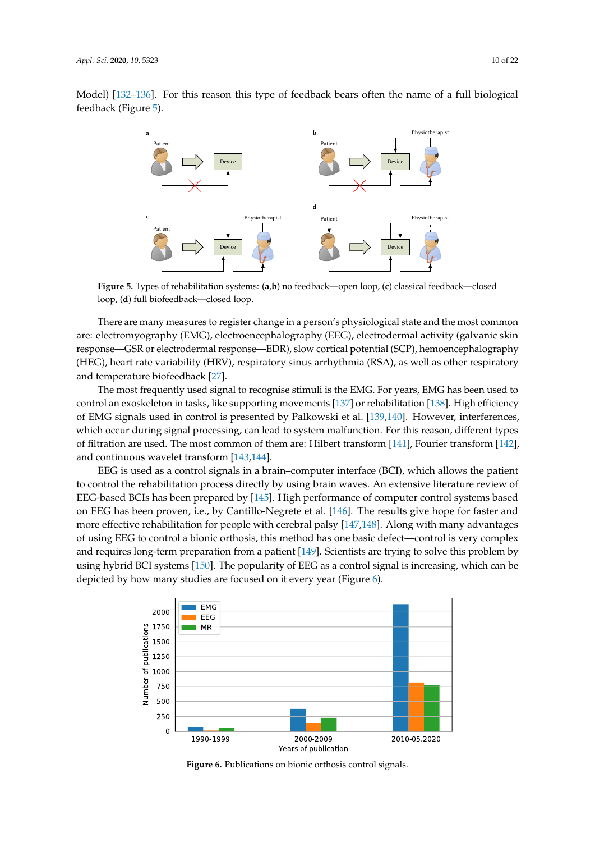<span id="page-9-0"></span>

**Figure 5.** Types of rehabilitation systems: (**a**,**b**) no feedback—open loop, (**c**) classical feedback—closed loop, (**d**) full biofeedback—closed loop.

There are many measures to register change in a person's physiological state and the most common are: electromyography (EMG), electroencephalography (EEG), electrodermal activity (galvanic skin response—GSR or electrodermal response—EDR), slow cortical potential (SCP), hemoencephalography (HEG), heart rate variability (HRV), respiratory sinus arrhythmia (RSA), as well as other respiratory and temperature biofeedback [\[27\]](#page-14-2).

The most frequently used signal to recognise stimuli is the EMG. For years, EMG has been used to control an exoskeleton in tasks, like supporting movements [\[137\]](#page-19-7) or rehabilitation [\[138\]](#page-19-8). High efficiency of EMG signals used in control is presented by Palkowski et al. [\[139](#page-19-9)[,140\]](#page-19-10). However, interferences, which occur during signal processing, can lead to system malfunction. For this reason, different types of filtration are used. The most common of them are: Hilbert transform [\[141\]](#page-19-11), Fourier transform [\[142\]](#page-19-12), and continuous wavelet transform [\[143,](#page-19-13)[144\]](#page-19-14).

EEG is used as a control signals in a brain–computer interface (BCI), which allows the patient to control the rehabilitation process directly by using brain waves. An extensive literature review of EEG-based BCIs has been prepared by [\[145\]](#page-19-15). High performance of computer control systems based on EEG has been proven, i.e., by Cantillo-Negrete et al. [\[146\]](#page-20-0). The results give hope for faster and more effective rehabilitation for people with cerebral palsy [\[147,](#page-20-1)[148\]](#page-20-2). Along with many advantages of using EEG to control a bionic orthosis, this method has one basic defect—control is very complex and requires long-term preparation from a patient [\[149\]](#page-20-3). Scientists are trying to solve this problem by using hybrid BCI systems [\[150\]](#page-20-4). The popularity of EEG as a control signal is increasing, which can be depicted by how many studies are focused on it every year (Figure [6\)](#page-9-1).

<span id="page-9-1"></span>

**Figure 6.** Publications on bionic orthosis control signals.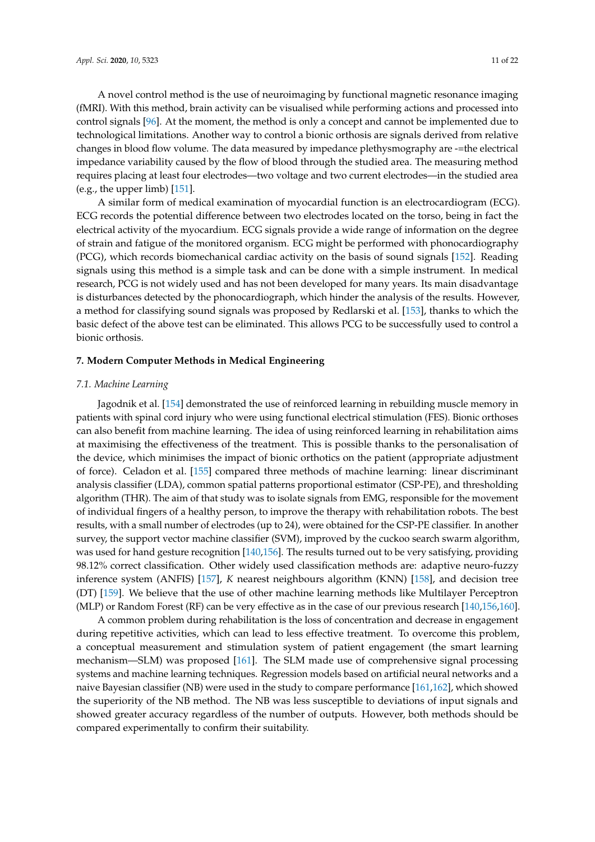A novel control method is the use of neuroimaging by functional magnetic resonance imaging (fMRI). With this method, brain activity can be visualised while performing actions and processed into control signals [\[96\]](#page-17-15). At the moment, the method is only a concept and cannot be implemented due to technological limitations. Another way to control a bionic orthosis are signals derived from relative changes in blood flow volume. The data measured by impedance plethysmography are -=the electrical impedance variability caused by the flow of blood through the studied area. The measuring method requires placing at least four electrodes—two voltage and two current electrodes—in the studied area (e.g., the upper limb) [\[151\]](#page-20-5).

A similar form of medical examination of myocardial function is an electrocardiogram (ECG). ECG records the potential difference between two electrodes located on the torso, being in fact the electrical activity of the myocardium. ECG signals provide a wide range of information on the degree of strain and fatigue of the monitored organism. ECG might be performed with phonocardiography (PCG), which records biomechanical cardiac activity on the basis of sound signals [\[152\]](#page-20-6). Reading signals using this method is a simple task and can be done with a simple instrument. In medical research, PCG is not widely used and has not been developed for many years. Its main disadvantage is disturbances detected by the phonocardiograph, which hinder the analysis of the results. However, a method for classifying sound signals was proposed by Redlarski et al. [\[153\]](#page-20-7), thanks to which the basic defect of the above test can be eliminated. This allows PCG to be successfully used to control a bionic orthosis.

#### **7. Modern Computer Methods in Medical Engineering**

#### *7.1. Machine Learning*

Jagodnik et al. [\[154\]](#page-20-8) demonstrated the use of reinforced learning in rebuilding muscle memory in patients with spinal cord injury who were using functional electrical stimulation (FES). Bionic orthoses can also benefit from machine learning. The idea of using reinforced learning in rehabilitation aims at maximising the effectiveness of the treatment. This is possible thanks to the personalisation of the device, which minimises the impact of bionic orthotics on the patient (appropriate adjustment of force). Celadon et al. [\[155\]](#page-20-9) compared three methods of machine learning: linear discriminant analysis classifier (LDA), common spatial patterns proportional estimator (CSP-PE), and thresholding algorithm (THR). The aim of that study was to isolate signals from EMG, responsible for the movement of individual fingers of a healthy person, to improve the therapy with rehabilitation robots. The best results, with a small number of electrodes (up to 24), were obtained for the CSP-PE classifier. In another survey, the support vector machine classifier (SVM), improved by the cuckoo search swarm algorithm, was used for hand gesture recognition [\[140](#page-19-10)[,156\]](#page-20-10). The results turned out to be very satisfying, providing 98.12% correct classification. Other widely used classification methods are: adaptive neuro-fuzzy inference system (ANFIS) [\[157\]](#page-20-11), *K* nearest neighbours algorithm (KNN) [\[158\]](#page-20-12), and decision tree (DT) [\[159\]](#page-20-13). We believe that the use of other machine learning methods like Multilayer Perceptron (MLP) or Random Forest (RF) can be very effective as in the case of our previous research [\[140](#page-19-10)[,156](#page-20-10)[,160\]](#page-20-14).

A common problem during rehabilitation is the loss of concentration and decrease in engagement during repetitive activities, which can lead to less effective treatment. To overcome this problem, a conceptual measurement and stimulation system of patient engagement (the smart learning mechanism—SLM) was proposed [\[161\]](#page-20-15). The SLM made use of comprehensive signal processing systems and machine learning techniques. Regression models based on artificial neural networks and a naive Bayesian classifier (NB) were used in the study to compare performance [\[161,](#page-20-15)[162\]](#page-20-16), which showed the superiority of the NB method. The NB was less susceptible to deviations of input signals and showed greater accuracy regardless of the number of outputs. However, both methods should be compared experimentally to confirm their suitability.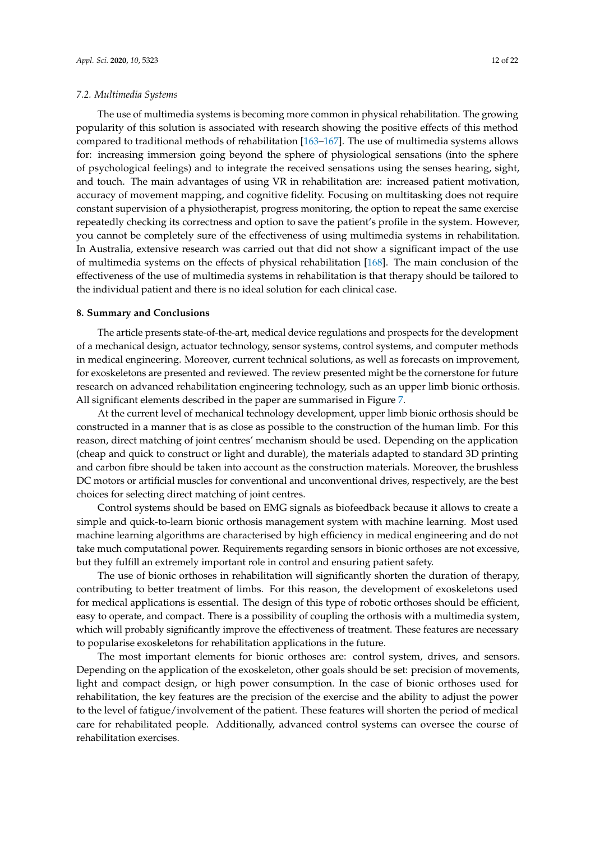## *7.2. Multimedia Systems*

The use of multimedia systems is becoming more common in physical rehabilitation. The growing popularity of this solution is associated with research showing the positive effects of this method compared to traditional methods of rehabilitation [\[163–](#page-20-17)[167\]](#page-21-0). The use of multimedia systems allows for: increasing immersion going beyond the sphere of physiological sensations (into the sphere of psychological feelings) and to integrate the received sensations using the senses hearing, sight, and touch. The main advantages of using VR in rehabilitation are: increased patient motivation, accuracy of movement mapping, and cognitive fidelity. Focusing on multitasking does not require constant supervision of a physiotherapist, progress monitoring, the option to repeat the same exercise repeatedly checking its correctness and option to save the patient's profile in the system. However, you cannot be completely sure of the effectiveness of using multimedia systems in rehabilitation. In Australia, extensive research was carried out that did not show a significant impact of the use of multimedia systems on the effects of physical rehabilitation [\[168\]](#page-21-1). The main conclusion of the effectiveness of the use of multimedia systems in rehabilitation is that therapy should be tailored to the individual patient and there is no ideal solution for each clinical case.

#### **8. Summary and Conclusions**

The article presents state-of-the-art, medical device regulations and prospects for the development of a mechanical design, actuator technology, sensor systems, control systems, and computer methods in medical engineering. Moreover, current technical solutions, as well as forecasts on improvement, for exoskeletons are presented and reviewed. The review presented might be the cornerstone for future research on advanced rehabilitation engineering technology, such as an upper limb bionic orthosis. All significant elements described in the paper are summarised in Figure [7.](#page-12-0)

At the current level of mechanical technology development, upper limb bionic orthosis should be constructed in a manner that is as close as possible to the construction of the human limb. For this reason, direct matching of joint centres' mechanism should be used. Depending on the application (cheap and quick to construct or light and durable), the materials adapted to standard 3D printing and carbon fibre should be taken into account as the construction materials. Moreover, the brushless DC motors or artificial muscles for conventional and unconventional drives, respectively, are the best choices for selecting direct matching of joint centres.

Control systems should be based on EMG signals as biofeedback because it allows to create a simple and quick-to-learn bionic orthosis management system with machine learning. Most used machine learning algorithms are characterised by high efficiency in medical engineering and do not take much computational power. Requirements regarding sensors in bionic orthoses are not excessive, but they fulfill an extremely important role in control and ensuring patient safety.

The use of bionic orthoses in rehabilitation will significantly shorten the duration of therapy, contributing to better treatment of limbs. For this reason, the development of exoskeletons used for medical applications is essential. The design of this type of robotic orthoses should be efficient, easy to operate, and compact. There is a possibility of coupling the orthosis with a multimedia system, which will probably significantly improve the effectiveness of treatment. These features are necessary to popularise exoskeletons for rehabilitation applications in the future.

The most important elements for bionic orthoses are: control system, drives, and sensors. Depending on the application of the exoskeleton, other goals should be set: precision of movements, light and compact design, or high power consumption. In the case of bionic orthoses used for rehabilitation, the key features are the precision of the exercise and the ability to adjust the power to the level of fatigue/involvement of the patient. These features will shorten the period of medical care for rehabilitated people. Additionally, advanced control systems can oversee the course of rehabilitation exercises.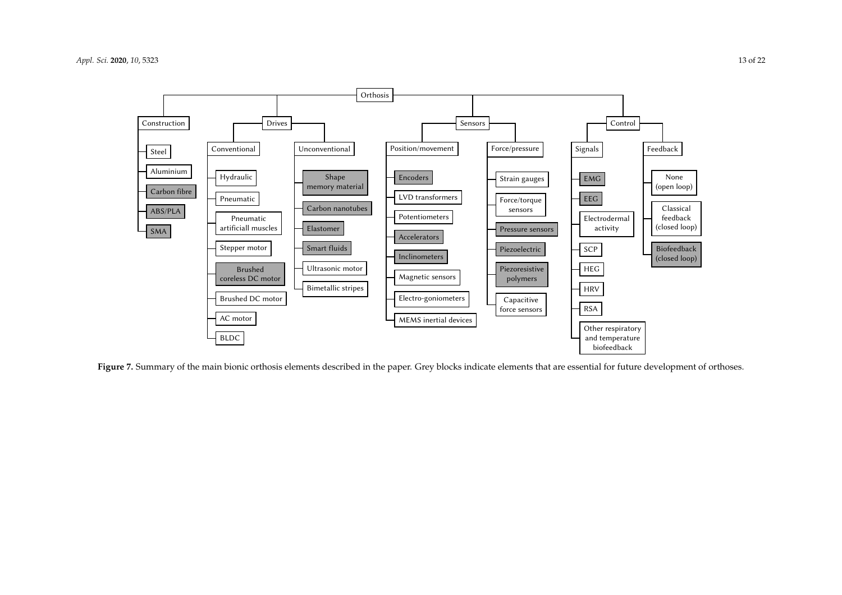

<span id="page-12-0"></span>Figure 7. Summary of the main bionic orthosis elements described in the paper. Grey blocks indicate elements that are essential for future development of orthoses.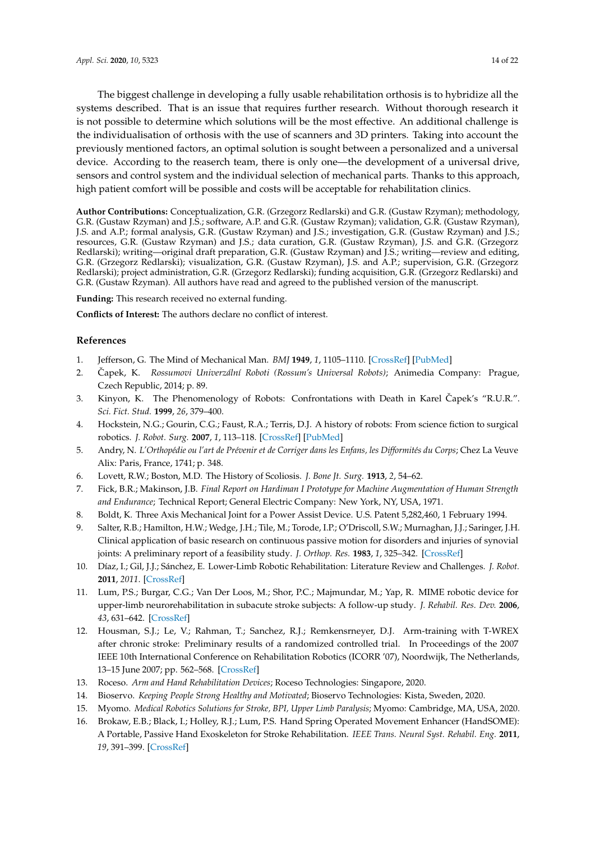The biggest challenge in developing a fully usable rehabilitation orthosis is to hybridize all the systems described. That is an issue that requires further research. Without thorough research it is not possible to determine which solutions will be the most effective. An additional challenge is the individualisation of orthosis with the use of scanners and 3D printers. Taking into account the previously mentioned factors, an optimal solution is sought between a personalized and a universal device. According to the reaserch team, there is only one—the development of a universal drive, sensors and control system and the individual selection of mechanical parts. Thanks to this approach, high patient comfort will be possible and costs will be acceptable for rehabilitation clinics.

**Author Contributions:** Conceptualization, G.R. (Grzegorz Redlarski) and G.R. (Gustaw Rzyman); methodology, G.R. (Gustaw Rzyman) and J.S.; software, A.P. and G.R. (Gustaw Rzyman); validation, G.R. (Gustaw Rzyman), J.S. and A.P.; formal analysis, G.R. (Gustaw Rzyman) and J.S.; investigation, G.R. (Gustaw Rzyman) and J.S.; resources, G.R. (Gustaw Rzyman) and J.S.; data curation, G.R. (Gustaw Rzyman), J.S. and G.R. (Grzegorz Redlarski); writing—original draft preparation, G.R. (Gustaw Rzyman) and J.S.; writing—review and editing, G.R. (Grzegorz Redlarski); visualization, G.R. (Gustaw Rzyman), J.S. and A.P.; supervision, G.R. (Grzegorz Redlarski); project administration, G.R. (Grzegorz Redlarski); funding acquisition, G.R. (Grzegorz Redlarski) and G.R. (Gustaw Rzyman). All authors have read and agreed to the published version of the manuscript.

**Funding:** This research received no external funding.

**Conflicts of Interest:** The authors declare no conflict of interest.

# **References**

- <span id="page-13-0"></span>1. Jefferson, G. The Mind of Mechanical Man. *BMJ* **1949**, *1*, 1105–1110. [\[CrossRef\]](http://dx.doi.org/10.1136/bmj.1.4616.1105) [\[PubMed\]](http://www.ncbi.nlm.nih.gov/pubmed/18153422)
- <span id="page-13-1"></span>2. Čapek, K. Rossumovi Univerzální Roboti (Rossum's Universal Robots); Animedia Company: Prague, Czech Republic, 2014; p. 89.
- 3. Kinyon, K. The Phenomenology of Robots: Confrontations with Death in Karel Capek's "R.U.R.". ˇ *Sci. Fict. Stud.* **1999**, *26*, 379–400.
- <span id="page-13-2"></span>4. Hockstein, N.G.; Gourin, C.G.; Faust, R.A.; Terris, D.J. A history of robots: From science fiction to surgical robotics. *J. Robot. Surg.* **2007**, *1*, 113–118. [\[CrossRef\]](http://dx.doi.org/10.1007/s11701-007-0021-2) [\[PubMed\]](http://www.ncbi.nlm.nih.gov/pubmed/25484946)
- <span id="page-13-3"></span>5. Andry, N. *L'Orthopédie ou l'art de Prévenir et de Corriger dans les Enfans, les Difformités du Corps*; Chez La Veuve Alix: Paris, France, 1741; p. 348.
- <span id="page-13-4"></span>6. Lovett, R.W.; Boston, M.D. The History of Scoliosis. *J. Bone Jt. Surg.* **1913**, *2*, 54–62.
- <span id="page-13-5"></span>7. Fick, B.R.; Makinson, J.B. *Final Report on Hardiman I Prototype for Machine Augmentation of Human Strength and Endurance*; Technical Report; General Electric Company: New York, NY, USA, 1971.
- <span id="page-13-6"></span>8. Boldt, K. Three Axis Mechanical Joint for a Power Assist Device. U.S. Patent 5,282,460, 1 February 1994.
- <span id="page-13-7"></span>9. Salter, R.B.; Hamilton, H.W.; Wedge, J.H.; Tile, M.; Torode, I.P.; O'Driscoll, S.W.; Murnaghan, J.J.; Saringer, J.H. Clinical application of basic research on continuous passive motion for disorders and injuries of synovial joints: A preliminary report of a feasibility study. *J. Orthop. Res.* **1983**, *1*, 325–342. [\[CrossRef\]](http://dx.doi.org/10.1002/jor.1100010313)
- <span id="page-13-8"></span>10. Díaz, I.; Gil, J.J.; Sánchez, E. Lower-Limb Robotic Rehabilitation: Literature Review and Challenges. *J. Robot.* **2011**, *2011*. [\[CrossRef\]](http://dx.doi.org/10.1155/2011/759764)
- 11. Lum, P.S.; Burgar, C.G.; Van Der Loos, M.; Shor, P.C.; Majmundar, M.; Yap, R. MIME robotic device for upper-limb neurorehabilitation in subacute stroke subjects: A follow-up study. *J. Rehabil. Res. Dev.* **2006**, *43*, 631–642. [\[CrossRef\]](http://dx.doi.org/10.1682/JRRD.2005.02.0044)
- 12. Housman, S.J.; Le, V.; Rahman, T.; Sanchez, R.J.; Remkensrneyer, D.J. Arm-training with T-WREX after chronic stroke: Preliminary results of a randomized controlled trial. In Proceedings of the 2007 IEEE 10th International Conference on Rehabilitation Robotics (ICORR '07), Noordwijk, The Netherlands, 13–15 June 2007; pp. 562–568. [\[CrossRef\]](http://dx.doi.org/10.1109/ICORR.2007.4428481)
- 13. Roceso. *Arm and Hand Rehabilitation Devices*; Roceso Technologies: Singapore, 2020.
- 14. Bioservo. *Keeping People Strong Healthy and Motivated*; Bioservo Technologies: Kista, Sweden, 2020.
- <span id="page-13-9"></span>15. Myomo. *Medical Robotics Solutions for Stroke, BPI, Upper Limb Paralysis*; Myomo: Cambridge, MA, USA, 2020.
- <span id="page-13-10"></span>16. Brokaw, E.B.; Black, I.; Holley, R.J.; Lum, P.S. Hand Spring Operated Movement Enhancer (HandSOME): A Portable, Passive Hand Exoskeleton for Stroke Rehabilitation. *IEEE Trans. Neural Syst. Rehabil. Eng.* **2011**, *19*, 391–399. [\[CrossRef\]](http://dx.doi.org/10.1109/TNSRE.2011.2157705)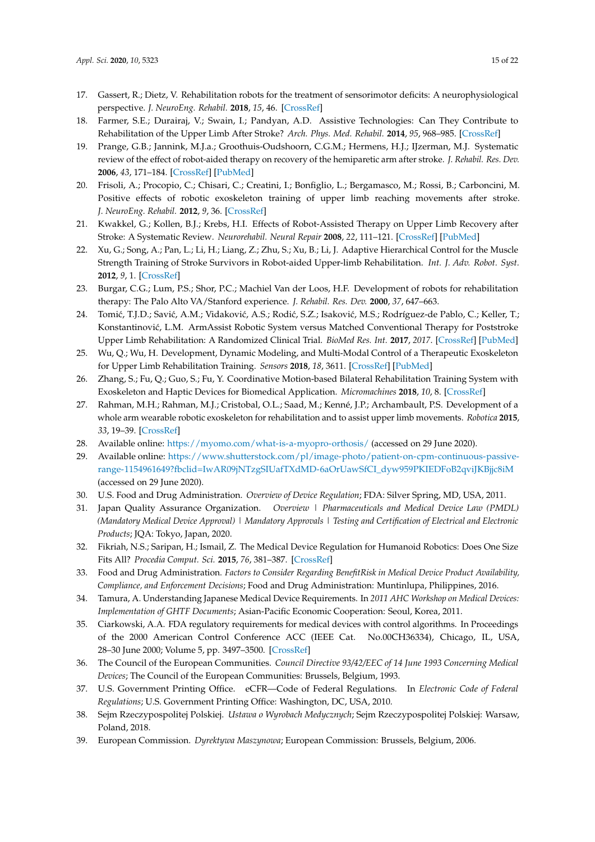- <span id="page-14-0"></span>17. Gassert, R.; Dietz, V. Rehabilitation robots for the treatment of sensorimotor deficits: A neurophysiological perspective. *J. NeuroEng. Rehabil.* **2018**, *15*, 46. [\[CrossRef\]](http://dx.doi.org/10.1186/s12984-018-0383-x)
- <span id="page-14-1"></span>18. Farmer, S.E.; Durairaj, V.; Swain, I.; Pandyan, A.D. Assistive Technologies: Can They Contribute to Rehabilitation of the Upper Limb After Stroke? *Arch. Phys. Med. Rehabil.* **2014**, *95*, 968–985. [\[CrossRef\]](http://dx.doi.org/10.1016/j.apmr.2013.12.020)
- 19. Prange, G.B.; Jannink, M.J.a.; Groothuis-Oudshoorn, C.G.M.; Hermens, H.J.; IJzerman, M.J. Systematic review of the effect of robot-aided therapy on recovery of the hemiparetic arm after stroke. *J. Rehabil. Res. Dev.* **2006**, *43*, 171–184. [\[CrossRef\]](http://dx.doi.org/10.1682/JRRD.2005.04.0076) [\[PubMed\]](http://www.ncbi.nlm.nih.gov/pubmed/16847784)
- 20. Frisoli, A.; Procopio, C.; Chisari, C.; Creatini, I.; Bonfiglio, L.; Bergamasco, M.; Rossi, B.; Carboncini, M. Positive effects of robotic exoskeleton training of upper limb reaching movements after stroke. *J. NeuroEng. Rehabil.* **2012**, *9*, 36. [\[CrossRef\]](http://dx.doi.org/10.1186/1743-0003-9-36)
- 21. Kwakkel, G.; Kollen, B.J.; Krebs, H.I. Effects of Robot-Assisted Therapy on Upper Limb Recovery after Stroke: A Systematic Review. *Neurorehabil. Neural Repair* **2008**, *22*, 111–121. [\[CrossRef\]](http://dx.doi.org/10.1177/1545968307305457) [\[PubMed\]](http://www.ncbi.nlm.nih.gov/pubmed/17876068)
- 22. Xu, G.; Song, A.; Pan, L.; Li, H.; Liang, Z.; Zhu, S.; Xu, B.; Li, J. Adaptive Hierarchical Control for the Muscle Strength Training of Stroke Survivors in Robot-aided Upper-limb Rehabilitation. *Int. J. Adv. Robot. Syst.* **2012**, *9*, 1. [\[CrossRef\]](http://dx.doi.org/10.5772/51035)
- 23. Burgar, C.G.; Lum, P.S.; Shor, P.C.; Machiel Van der Loos, H.F. Development of robots for rehabilitation therapy: The Palo Alto VA/Stanford experience. *J. Rehabil. Res. Dev.* **2000**, *37*, 647–663.
- 24. Tomić, T.J.D.; Savić, A.M.; Vidaković, A.S.; Rodić, S.Z.; Isaković, M.S.; Rodríguez-de Pablo, C.; Keller, T.; Konstantinović, L.M. ArmAssist Robotic System versus Matched Conventional Therapy for Poststroke Upper Limb Rehabilitation: A Randomized Clinical Trial. *BioMed Res. Int.* **2017**, *2017*. [\[CrossRef\]](http://dx.doi.org/10.1155/2017/7659893) [\[PubMed\]](http://www.ncbi.nlm.nih.gov/pubmed/28251157)
- 25. Wu, Q.; Wu, H. Development, Dynamic Modeling, and Multi-Modal Control of a Therapeutic Exoskeleton for Upper Limb Rehabilitation Training. *Sensors* **2018**, *18*, 3611. [\[CrossRef\]](http://dx.doi.org/10.3390/s18113611) [\[PubMed\]](http://www.ncbi.nlm.nih.gov/pubmed/30356005)
- 26. Zhang, S.; Fu, Q.; Guo, S.; Fu, Y. Coordinative Motion-based Bilateral Rehabilitation Training System with Exoskeleton and Haptic Devices for Biomedical Application. *Micromachines* **2018**, *10*, 8. [\[CrossRef\]](http://dx.doi.org/10.3390/mi10010008)
- <span id="page-14-2"></span>27. Rahman, M.H.; Rahman, M.J.; Cristobal, O.L.; Saad, M.; Kenné, J.P.; Archambault, P.S. Development of a whole arm wearable robotic exoskeleton for rehabilitation and to assist upper limb movements. *Robotica* **2015**, *33*, 19–39. [\[CrossRef\]](http://dx.doi.org/10.1017/S0263574714000034)
- <span id="page-14-3"></span>28. Available online: <https://myomo.com/what-is-a-myopro-orthosis/> (accessed on 29 June 2020).
- <span id="page-14-4"></span>29. Available online: [https://www.shutterstock.com/pl/image-photo/patient-on-cpm-continuous-passive](https://www.shutterstock.com/pl/image-photo/patient-on-cpm-continuous-passive-range-1154961649?fbclid=IwAR09jNTzgSIUafTXdMD-6aOrUawSfCI_dyw959PKIEDFoB2qviJKBjjc8iM)[range-1154961649?fbclid=IwAR09jNTzgSIUafTXdMD-6aOrUawSfCI\\_dyw959PKIEDFoB2qviJKBjjc8iM](https://www.shutterstock.com/pl/image-photo/patient-on-cpm-continuous-passive-range-1154961649?fbclid=IwAR09jNTzgSIUafTXdMD-6aOrUawSfCI_dyw959PKIEDFoB2qviJKBjjc8iM) (accessed on 29 June 2020).
- <span id="page-14-5"></span>30. U.S. Food and Drug Administration. *Overview of Device Regulation*; FDA: Silver Spring, MD, USA, 2011.
- <span id="page-14-6"></span>31. Japan Quality Assurance Organization. *Overview | Pharmaceuticals and Medical Device Law (PMDL) (Mandatory Medical Device Approval) | Mandatory Approvals | Testing and Certification of Electrical and Electronic Products*; JQA: Tokyo, Japan, 2020.
- <span id="page-14-7"></span>32. Fikriah, N.S.; Saripan, H.; Ismail, Z. The Medical Device Regulation for Humanoid Robotics: Does One Size Fits All? *Procedia Comput. Sci.* **2015**, *76*, 381–387. [\[CrossRef\]](http://dx.doi.org/10.1016/j.procs.2015.12.313)
- <span id="page-14-8"></span>33. Food and Drug Administration. *Factors to Consider Regarding BenefitRisk in Medical Device Product Availability, Compliance, and Enforcement Decisions*; Food and Drug Administration: Muntinlupa, Philippines, 2016.
- <span id="page-14-9"></span>34. Tamura, A. Understanding Japanese Medical Device Requirements. In *2011 AHC Workshop on Medical Devices: Implementation of GHTF Documents*; Asian-Pacific Economic Cooperation: Seoul, Korea, 2011.
- <span id="page-14-10"></span>35. Ciarkowski, A.A. FDA regulatory requirements for medical devices with control algorithms. In Proceedings of the 2000 American Control Conference ACC (IEEE Cat. No.00CH36334), Chicago, IL, USA, 28–30 June 2000; Volume 5, pp. 3497–3500. [\[CrossRef\]](http://dx.doi.org/10.1109/acc.2000.879219)
- <span id="page-14-11"></span>36. The Council of the European Communities. *Council Directive 93/42/EEC of 14 June 1993 Concerning Medical Devices*; The Council of the European Communities: Brussels, Belgium, 1993.
- <span id="page-14-12"></span>37. U.S. Government Printing Office. eCFR—Code of Federal Regulations. In *Electronic Code of Federal Regulations*; U.S. Government Printing Office: Washington, DC, USA, 2010.
- <span id="page-14-13"></span>38. Sejm Rzeczypospolitej Polskiej. *Ustawa o Wyrobach Medycznych*; Sejm Rzeczypospolitej Polskiej: Warsaw, Poland, 2018.
- 39. European Commission. *Dyrektywa Maszynowa*; European Commission: Brussels, Belgium, 2006.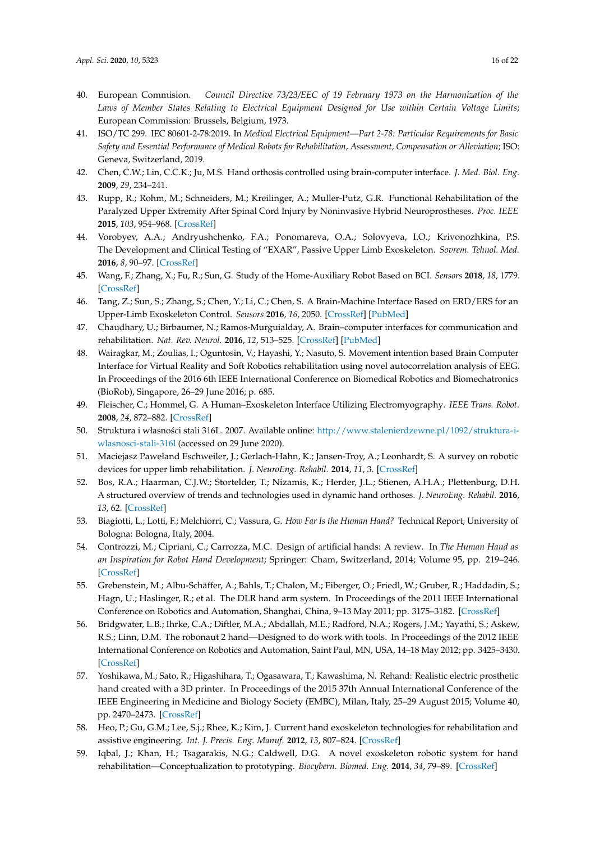- <span id="page-15-0"></span>40. European Commision. *Council Directive 73/23/EEC of 19 February 1973 on the Harmonization of the Laws of Member States Relating to Electrical Equipment Designed for Use within Certain Voltage Limits*; European Commission: Brussels, Belgium, 1973.
- <span id="page-15-1"></span>41. ISO/TC 299. IEC 80601-2-78:2019. In *Medical Electrical Equipment—Part 2-78: Particular Requirements for Basic Safety and Essential Performance of Medical Robots for Rehabilitation, Assessment, Compensation or Alleviation*; ISO: Geneva, Switzerland, 2019.
- <span id="page-15-2"></span>42. Chen, C.W.; Lin, C.C.K.; Ju, M.S. Hand orthosis controlled using brain-computer interface. *J. Med. Biol. Eng.* **2009**, *29*, 234–241.
- 43. Rupp, R.; Rohm, M.; Schneiders, M.; Kreilinger, A.; Muller-Putz, G.R. Functional Rehabilitation of the Paralyzed Upper Extremity After Spinal Cord Injury by Noninvasive Hybrid Neuroprostheses. *Proc. IEEE* **2015**, *103*, 954–968. [\[CrossRef\]](http://dx.doi.org/10.1109/JPROC.2015.2395253)
- <span id="page-15-14"></span>44. Vorobyev, A.A.; Andryushchenko, F.A.; Ponomareva, O.A.; Solovyeva, I.O.; Krivonozhkina, P.S. The Development and Clinical Testing of "EXAR", Passive Upper Limb Exoskeleton. *Sovrem. Tehnol. Med.* **2016**, *8*, 90–97. [\[CrossRef\]](http://dx.doi.org/10.17691/stm2016.8.2.13)
- <span id="page-15-15"></span>45. Wang, F.; Zhang, X.; Fu, R.; Sun, G. Study of the Home-Auxiliary Robot Based on BCI. *Sensors* **2018**, *18*, 1779. [\[CrossRef\]](http://dx.doi.org/10.3390/s18061779)
- 46. Tang, Z.; Sun, S.; Zhang, S.; Chen, Y.; Li, C.; Chen, S. A Brain-Machine Interface Based on ERD/ERS for an Upper-Limb Exoskeleton Control. *Sensors* **2016**, *16*, 2050. [\[CrossRef\]](http://dx.doi.org/10.3390/s16122050) [\[PubMed\]](http://www.ncbi.nlm.nih.gov/pubmed/27918413)
- 47. Chaudhary, U.; Birbaumer, N.; Ramos-Murguialday, A. Brain–computer interfaces for communication and rehabilitation. *Nat. Rev. Neurol.* **2016**, *12*, 513–525. [\[CrossRef\]](http://dx.doi.org/10.1038/nrneurol.2016.113) [\[PubMed\]](http://www.ncbi.nlm.nih.gov/pubmed/27539560)
- <span id="page-15-3"></span>48. Wairagkar, M.; Zoulias, I.; Oguntosin, V.; Hayashi, Y.; Nasuto, S. Movement intention based Brain Computer Interface for Virtual Reality and Soft Robotics rehabilitation using novel autocorrelation analysis of EEG. In Proceedings of the 2016 6th IEEE International Conference on Biomedical Robotics and Biomechatronics (BioRob), Singapore, 26–29 June 2016; p. 685.
- <span id="page-15-4"></span>49. Fleischer, C.; Hommel, G. A Human–Exoskeleton Interface Utilizing Electromyography. *IEEE Trans. Robot.* **2008**, *24*, 872–882. [\[CrossRef\]](http://dx.doi.org/10.1109/TRO.2008.926860)
- <span id="page-15-5"></span>50. Struktura i własności stali 316L. 2007. Available online: [http://www.stalenierdzewne.pl/1092/struktura-i](http://www.stalenierdzewne.pl/1092/struktura-i-wlasnosci-stali-316l)[wlasnosci-stali-316l](http://www.stalenierdzewne.pl/1092/struktura-i-wlasnosci-stali-316l) (accessed on 29 June 2020).
- <span id="page-15-6"></span>51. Maciejasz Pawełand Eschweiler, J.; Gerlach-Hahn, K.; Jansen-Troy, A.; Leonhardt, S. A survey on robotic devices for upper limb rehabilitation. *J. NeuroEng. Rehabil.* **2014**, *11*, 3. [\[CrossRef\]](http://dx.doi.org/10.1186/1743-0003-11-3)
- <span id="page-15-7"></span>52. Bos, R.A.; Haarman, C.J.W.; Stortelder, T.; Nizamis, K.; Herder, J.L.; Stienen, A.H.A.; Plettenburg, D.H. A structured overview of trends and technologies used in dynamic hand orthoses. *J. NeuroEng. Rehabil.* **2016**, *13*, 62. [\[CrossRef\]](http://dx.doi.org/10.1186/s12984-016-0168-z)
- <span id="page-15-8"></span>53. Biagiotti, L.; Lotti, F.; Melchiorri, C.; Vassura, G. *How Far Is the Human Hand?* Technical Report; University of Bologna: Bologna, Italy, 2004.
- <span id="page-15-9"></span>54. Controzzi, M.; Cipriani, C.; Carrozza, M.C. Design of artificial hands: A review. In *The Human Hand as an Inspiration for Robot Hand Development*; Springer: Cham, Switzerland, 2014; Volume 95, pp. 219–246. [\[CrossRef\]](http://dx.doi.org/10.1007/978-3-319-03017-3_11)
- <span id="page-15-10"></span>55. Grebenstein, M.; Albu-Schäffer, A.; Bahls, T.; Chalon, M.; Eiberger, O.; Friedl, W.; Gruber, R.; Haddadin, S.; Hagn, U.; Haslinger, R.; et al. The DLR hand arm system. In Proceedings of the 2011 IEEE International Conference on Robotics and Automation, Shanghai, China, 9–13 May 2011; pp. 3175–3182. [\[CrossRef\]](http://dx.doi.org/10.1109/ICRA.2011.5980371)
- 56. Bridgwater, L.B.; Ihrke, C.A.; Diftler, M.A.; Abdallah, M.E.; Radford, N.A.; Rogers, J.M.; Yayathi, S.; Askew, R.S.; Linn, D.M. The robonaut 2 hand—Designed to do work with tools. In Proceedings of the 2012 IEEE International Conference on Robotics and Automation, Saint Paul, MN, USA, 14–18 May 2012; pp. 3425–3430. [\[CrossRef\]](http://dx.doi.org/10.1109/ICRA.2012.6224772)
- <span id="page-15-11"></span>57. Yoshikawa, M.; Sato, R.; Higashihara, T.; Ogasawara, T.; Kawashima, N. Rehand: Realistic electric prosthetic hand created with a 3D printer. In Proceedings of the 2015 37th Annual International Conference of the IEEE Engineering in Medicine and Biology Society (EMBC), Milan, Italy, 25–29 August 2015; Volume 40, pp. 2470–2473. [\[CrossRef\]](http://dx.doi.org/10.1109/EMBC.2015.7318894)
- <span id="page-15-12"></span>58. Heo, P.; Gu, G.M.; Lee, S.j.; Rhee, K.; Kim, J. Current hand exoskeleton technologies for rehabilitation and assistive engineering. *Int. J. Precis. Eng. Manuf.* **2012**, *13*, 807–824. [\[CrossRef\]](http://dx.doi.org/10.1007/s12541-012-0107-2)
- <span id="page-15-13"></span>59. Iqbal, J.; Khan, H.; Tsagarakis, N.G.; Caldwell, D.G. A novel exoskeleton robotic system for hand rehabilitation—Conceptualization to prototyping. *Biocybern. Biomed. Eng.* **2014**, *34*, 79–89. [\[CrossRef\]](http://dx.doi.org/10.1016/j.bbe.2014.01.003)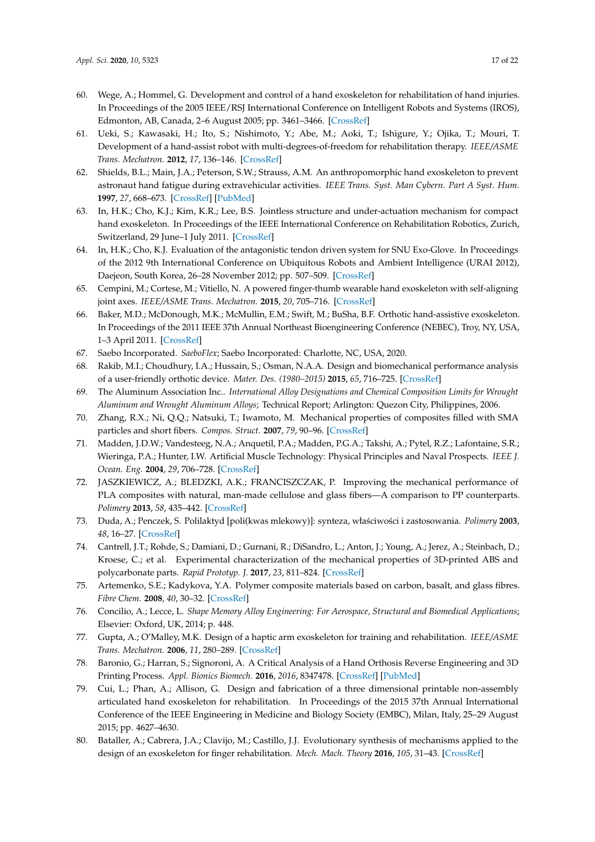- <span id="page-16-0"></span>60. Wege, A.; Hommel, G. Development and control of a hand exoskeleton for rehabilitation of hand injuries. In Proceedings of the 2005 IEEE/RSJ International Conference on Intelligent Robots and Systems (IROS), Edmonton, AB, Canada, 2–6 August 2005; pp. 3461–3466. [\[CrossRef\]](http://dx.doi.org/10.1109/IROS.2005.1545506)
- <span id="page-16-1"></span>61. Ueki, S.; Kawasaki, H.; Ito, S.; Nishimoto, Y.; Abe, M.; Aoki, T.; Ishigure, Y.; Ojika, T.; Mouri, T. Development of a hand-assist robot with multi-degrees-of-freedom for rehabilitation therapy. *IEEE/ASME Trans. Mechatron.* **2012**, *17*, 136–146. [\[CrossRef\]](http://dx.doi.org/10.1109/TMECH.2010.2090353)
- <span id="page-16-2"></span>62. Shields, B.L.; Main, J.A.; Peterson, S.W.; Strauss, A.M. An anthropomorphic hand exoskeleton to prevent astronaut hand fatigue during extravehicular activities. *IEEE Trans. Syst. Man Cybern. Part A Syst. Hum.* **1997**, *27*, 668–673. [\[CrossRef\]](http://dx.doi.org/10.1109/3468.618265) [\[PubMed\]](http://www.ncbi.nlm.nih.gov/pubmed/11541130)
- <span id="page-16-3"></span>63. In, H.K.; Cho, K.J.; Kim, K.R.; Lee, B.S. Jointless structure and under-actuation mechanism for compact hand exoskeleton. In Proceedings of the IEEE International Conference on Rehabilitation Robotics, Zurich, Switzerland, 29 June–1 July 2011. [\[CrossRef\]](http://dx.doi.org/10.1109/ICORR.2011.5975394)
- <span id="page-16-4"></span>64. In, H.K.; Cho, K.J. Evaluation of the antagonistic tendon driven system for SNU Exo-Glove. In Proceedings of the 2012 9th International Conference on Ubiquitous Robots and Ambient Intelligence (URAI 2012), Daejeon, South Korea, 26–28 November 2012; pp. 507–509. [\[CrossRef\]](http://dx.doi.org/10.1109/URAI.2012.6463054)
- <span id="page-16-5"></span>65. Cempini, M.; Cortese, M.; Vitiello, N. A powered finger-thumb wearable hand exoskeleton with self-aligning joint axes. *IEEE/ASME Trans. Mechatron.* **2015**, *20*, 705–716. [\[CrossRef\]](http://dx.doi.org/10.1109/TMECH.2014.2315528)
- <span id="page-16-6"></span>66. Baker, M.D.; McDonough, M.K.; McMullin, E.M.; Swift, M.; BuSha, B.F. Orthotic hand-assistive exoskeleton. In Proceedings of the 2011 IEEE 37th Annual Northeast Bioengineering Conference (NEBEC), Troy, NY, USA, 1–3 April 2011. [\[CrossRef\]](http://dx.doi.org/10.1109/NEBC.2011.5778523)
- <span id="page-16-7"></span>67. Saebo Incorporated. *SaeboFlex*; Saebo Incorporated: Charlotte, NC, USA, 2020.
- <span id="page-16-8"></span>68. Rakib, M.I.; Choudhury, I.A.; Hussain, S.; Osman, N.A.A. Design and biomechanical performance analysis of a user-friendly orthotic device. *Mater. Des. (1980–2015)* **2015**, *65*, 716–725. [\[CrossRef\]](http://dx.doi.org/10.1016/j.matdes.2014.09.075)
- <span id="page-16-9"></span>69. The Aluminum Association Inc.. *International Alloy Designations and Chemical Composition Limits for Wrought Aluminum and Wrought Aluminum Alloys*; Technical Report; Arlington: Quezon City, Philippines, 2006.
- <span id="page-16-10"></span>70. Zhang, R.X.; Ni, Q.Q.; Natsuki, T.; Iwamoto, M. Mechanical properties of composites filled with SMA particles and short fibers. *Compos. Struct.* **2007**, *79*, 90–96. [\[CrossRef\]](http://dx.doi.org/10.1016/j.compstruct.2005.11.032)
- <span id="page-16-14"></span>71. Madden, J.D.W.; Vandesteeg, N.A.; Anquetil, P.A.; Madden, P.G.A.; Takshi, A.; Pytel, R.Z.; Lafontaine, S.R.; Wieringa, P.A.; Hunter, I.W. Artificial Muscle Technology: Physical Principles and Naval Prospects. *IEEE J. Ocean. Eng.* **2004**, *29*, 706–728. [\[CrossRef\]](http://dx.doi.org/10.1109/JOE.2004.833135)
- <span id="page-16-12"></span>72. JASZKIEWICZ, A.; BLEDZKI, A.K.; FRANCISZCZAK, P. Improving the mechanical performance of PLA composites with natural, man-made cellulose and glass fibers—A comparison to PP counterparts. *Polimery* **2013**, *58*, 435–442. [\[CrossRef\]](http://dx.doi.org/10.14314/polimery.2013.435)
- <span id="page-16-13"></span>73. Duda, A.; Penczek, S. Polilaktyd [poli(kwas mlekowy)]: synteza, wła´sciwo´sci i zastosowania. *Polimery* **2003**, *48*, 16–27. [\[CrossRef\]](http://dx.doi.org/10.14314/polimery.2003.016)
- 74. Cantrell, J.T.; Rohde, S.; Damiani, D.; Gurnani, R.; DiSandro, L.; Anton, J.; Young, A.; Jerez, A.; Steinbach, D.; Kroese, C.; et al. Experimental characterization of the mechanical properties of 3D-printed ABS and polycarbonate parts. *Rapid Prototyp. J.* **2017**, *23*, 811–824. [\[CrossRef\]](http://dx.doi.org/10.1108/RPJ-03-2016-0042)
- <span id="page-16-11"></span>75. Artemenko, S.E.; Kadykova, Y.A. Polymer composite materials based on carbon, basalt, and glass fibres. *Fibre Chem.* **2008**, *40*, 30–32. [\[CrossRef\]](http://dx.doi.org/10.1007/s10692-008-9010-0)
- <span id="page-16-15"></span>76. Concilio, A.; Lecce, L. *Shape Memory Alloy Engineering: For Aerospace, Structural and Biomedical Applications*; Elsevier: Oxford, UK, 2014; p. 448.
- <span id="page-16-16"></span>77. Gupta, A.; O'Malley, M.K. Design of a haptic arm exoskeleton for training and rehabilitation. *IEEE/ASME Trans. Mechatron.* **2006**, *11*, 280–289. [\[CrossRef\]](http://dx.doi.org/10.1109/TMECH.2006.875558)
- <span id="page-16-17"></span>78. Baronio, G.; Harran, S.; Signoroni, A. A Critical Analysis of a Hand Orthosis Reverse Engineering and 3D Printing Process. *Appl. Bionics Biomech.* **2016**, *2016*, 8347478. [\[CrossRef\]](http://dx.doi.org/10.1155/2016/8347478) [\[PubMed\]](http://www.ncbi.nlm.nih.gov/pubmed/27594781)
- 79. Cui, L.; Phan, A.; Allison, G. Design and fabrication of a three dimensional printable non-assembly articulated hand exoskeleton for rehabilitation. In Proceedings of the 2015 37th Annual International Conference of the IEEE Engineering in Medicine and Biology Society (EMBC), Milan, Italy, 25–29 August 2015; pp. 4627–4630.
- 80. Bataller, A.; Cabrera, J.A.; Clavijo, M.; Castillo, J.J. Evolutionary synthesis of mechanisms applied to the design of an exoskeleton for finger rehabilitation. *Mech. Mach. Theory* **2016**, *105*, 31–43. [\[CrossRef\]](http://dx.doi.org/10.1016/j.mechmachtheory.2016.06.022)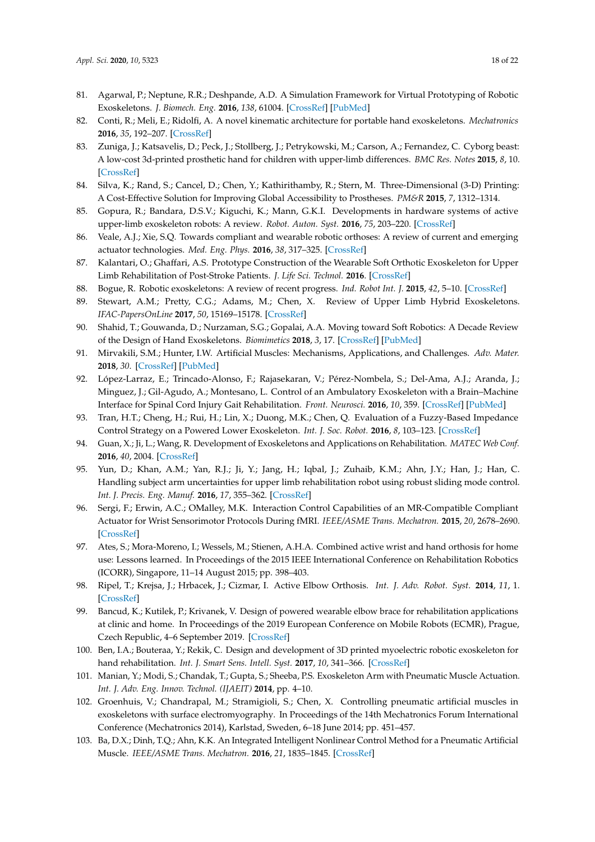- 81. Agarwal, P.; Neptune, R.R.; Deshpande, A.D. A Simulation Framework for Virtual Prototyping of Robotic Exoskeletons. *J. Biomech. Eng.* **2016**, *138*, 61004. [\[CrossRef\]](http://dx.doi.org/10.1115/1.4033177) [\[PubMed\]](http://www.ncbi.nlm.nih.gov/pubmed/27018453)
- 82. Conti, R.; Meli, E.; Ridolfi, A. A novel kinematic architecture for portable hand exoskeletons. *Mechatronics* **2016**, *35*, 192–207. [\[CrossRef\]](http://dx.doi.org/10.1016/j.mechatronics.2016.03.002)
- <span id="page-17-0"></span>83. Zuniga, J.; Katsavelis, D.; Peck, J.; Stollberg, J.; Petrykowski, M.; Carson, A.; Fernandez, C. Cyborg beast: A low-cost 3d-printed prosthetic hand for children with upper-limb differences. *BMC Res. Notes* **2015**, *8*, 10. [\[CrossRef\]](http://dx.doi.org/10.1186/s13104-015-0971-9)
- <span id="page-17-1"></span>84. Silva, K.; Rand, S.; Cancel, D.; Chen, Y.; Kathirithamby, R.; Stern, M. Three-Dimensional (3-D) Printing: A Cost-Effective Solution for Improving Global Accessibility to Prostheses. *PM&R* **2015**, *7*, 1312–1314.
- <span id="page-17-2"></span>85. Gopura, R.; Bandara, D.S.V.; Kiguchi, K.; Mann, G.K.I. Developments in hardware systems of active upper-limb exoskeleton robots: A review. *Robot. Auton. Syst.* **2016**, *75*, 203–220. [\[CrossRef\]](http://dx.doi.org/10.1016/j.robot.2015.10.001)
- 86. Veale, A.J.; Xie, S.Q. Towards compliant and wearable robotic orthoses: A review of current and emerging actuator technologies. *Med. Eng. Phys.* **2016**, *38*, 317–325. [\[CrossRef\]](http://dx.doi.org/10.1016/j.medengphy.2016.01.010)
- <span id="page-17-10"></span>87. Kalantari, O.; Ghaffari, A.S. Prototype Construction of the Wearable Soft Orthotic Exoskeleton for Upper Limb Rehabilitation of Post-Stroke Patients. *J. Life Sci. Technol.* **2016**. [\[CrossRef\]](http://dx.doi.org/10.18178/jolst.4.2.66-69)
- 88. Bogue, R. Robotic exoskeletons: A review of recent progress. *Ind. Robot Int. J.* **2015**, *42*, 5–10. [\[CrossRef\]](http://dx.doi.org/10.1108/IR-08-2014-0379)
- 89. Stewart, A.M.; Pretty, C.G.; Adams, M.; Chen, X. Review of Upper Limb Hybrid Exoskeletons. *IFAC-PapersOnLine* **2017**, *50*, 15169–15178. [\[CrossRef\]](http://dx.doi.org/10.1016/j.ifacol.2017.08.2266)
- <span id="page-17-3"></span>90. Shahid, T.; Gouwanda, D.; Nurzaman, S.G.; Gopalai, A.A. Moving toward Soft Robotics: A Decade Review of the Design of Hand Exoskeletons. *Biomimetics* **2018**, *3*, 17. [\[CrossRef\]](http://dx.doi.org/10.3390/biomimetics3030017) [\[PubMed\]](http://www.ncbi.nlm.nih.gov/pubmed/31105239)
- <span id="page-17-4"></span>91. Mirvakili, S.M.; Hunter, I.W. Artificial Muscles: Mechanisms, Applications, and Challenges. *Adv. Mater.* **2018**, *30*. [\[CrossRef\]](http://dx.doi.org/10.1002/adma.201704407) [\[PubMed\]](http://www.ncbi.nlm.nih.gov/pubmed/29250838)
- <span id="page-17-5"></span>92. López-Larraz, E.; Trincado-Alonso, F.; Rajasekaran, V.; Pérez-Nombela, S.; Del-Ama, A.J.; Aranda, J.; Minguez, J.; Gil-Agudo, A.; Montesano, L. Control of an Ambulatory Exoskeleton with a Brain–Machine Interface for Spinal Cord Injury Gait Rehabilitation. *Front. Neurosci.* **2016**, *10*, 359. [\[CrossRef\]](http://dx.doi.org/10.3389/fnins.2016.00359) [\[PubMed\]](http://www.ncbi.nlm.nih.gov/pubmed/27536214)
- 93. Tran, H.T.; Cheng, H.; Rui, H.; Lin, X.; Duong, M.K.; Chen, Q. Evaluation of a Fuzzy-Based Impedance Control Strategy on a Powered Lower Exoskeleton. *Int. J. Soc. Robot.* **2016**, *8*, 103–123. [\[CrossRef\]](http://dx.doi.org/10.1007/s12369-015-0324-9)
- <span id="page-17-6"></span>94. Guan, X.; Ji, L.; Wang, R. Development of Exoskeletons and Applications on Rehabilitation. *MATEC Web Conf.* **2016**, *40*, 2004. [\[CrossRef\]](http://dx.doi.org/10.1051/matecconf/20164002004)
- <span id="page-17-7"></span>95. Yun, D.; Khan, A.M.; Yan, R.J.; Ji, Y.; Jang, H.; Iqbal, J.; Zuhaib, K.M.; Ahn, J.Y.; Han, J.; Han, C. Handling subject arm uncertainties for upper limb rehabilitation robot using robust sliding mode control. *Int. J. Precis. Eng. Manuf.* **2016**, *17*, 355–362. [\[CrossRef\]](http://dx.doi.org/10.1007/s12541-016-0044-6)
- <span id="page-17-15"></span>96. Sergi, F.; Erwin, A.C.; OMalley, M.K. Interaction Control Capabilities of an MR-Compatible Compliant Actuator for Wrist Sensorimotor Protocols During fMRI. *IEEE/ASME Trans. Mechatron.* **2015**, *20*, 2678–2690. [\[CrossRef\]](http://dx.doi.org/10.1109/TMECH.2015.2389222)
- 97. Ates, S.; Mora-Moreno, I.; Wessels, M.; Stienen, A.H.A. Combined active wrist and hand orthosis for home use: Lessons learned. In Proceedings of the 2015 IEEE International Conference on Rehabilitation Robotics (ICORR), Singapore, 11–14 August 2015; pp. 398–403.
- <span id="page-17-8"></span>98. Ripel, T.; Krejsa, J.; Hrbacek, J.; Cizmar, I. Active Elbow Orthosis. *Int. J. Adv. Robot. Syst.* **2014**, *11*, 1. [\[CrossRef\]](http://dx.doi.org/10.5772/58874)
- <span id="page-17-9"></span>99. Bancud, K.; Kutilek, P.; Krivanek, V. Design of powered wearable elbow brace for rehabilitation applications at clinic and home. In Proceedings of the 2019 European Conference on Mobile Robots (ECMR), Prague, Czech Republic, 4–6 September 2019. [\[CrossRef\]](http://dx.doi.org/10.1109/ECMR.2019.8870922)
- <span id="page-17-11"></span>100. Ben, I.A.; Bouteraa, Y.; Rekik, C. Design and development of 3D printed myoelectric robotic exoskeleton for hand rehabilitation. *Int. J. Smart Sens. Intell. Syst.* **2017**, *10*, 341–366. [\[CrossRef\]](http://dx.doi.org/10.21307/ijssis-2017-215)
- <span id="page-17-12"></span>101. Manian, Y.; Modi, S.; Chandak, T.; Gupta, S.; Sheeba, P.S. Exoskeleton Arm with Pneumatic Muscle Actuation. *Int. J. Adv. Eng. Innov. Technol. (IJAEIT)* **2014**, pp. 4–10.
- <span id="page-17-13"></span>102. Groenhuis, V.; Chandrapal, M.; Stramigioli, S.; Chen, X. Controlling pneumatic artificial muscles in exoskeletons with surface electromyography. In Proceedings of the 14th Mechatronics Forum International Conference (Mechatronics 2014), Karlstad, Sweden, 6–18 June 2014; pp. 451–457.
- <span id="page-17-14"></span>103. Ba, D.X.; Dinh, T.Q.; Ahn, K.K. An Integrated Intelligent Nonlinear Control Method for a Pneumatic Artificial Muscle. *IEEE/ASME Trans. Mechatron.* **2016**, *21*, 1835–1845. [\[CrossRef\]](http://dx.doi.org/10.1109/TMECH.2016.2558292)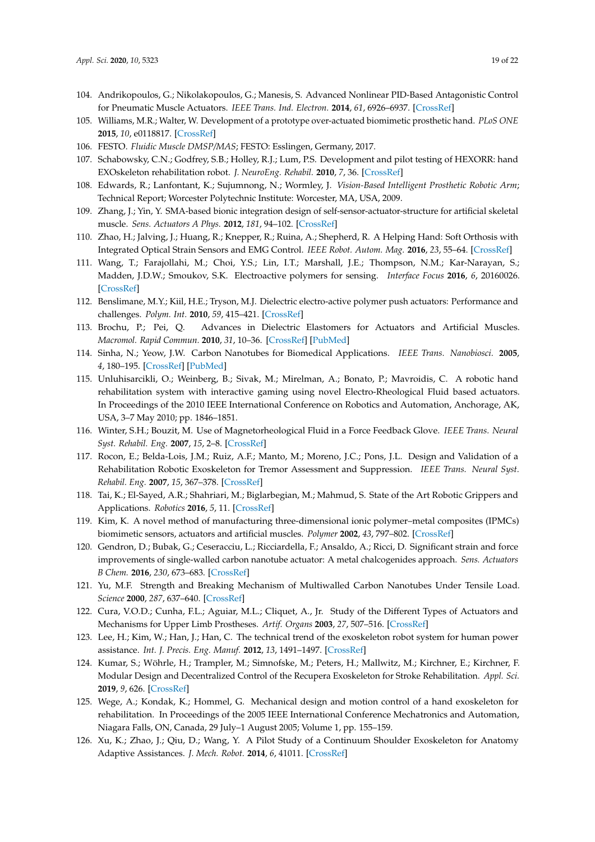- <span id="page-18-0"></span>104. Andrikopoulos, G.; Nikolakopoulos, G.; Manesis, S. Advanced Nonlinear PID-Based Antagonistic Control for Pneumatic Muscle Actuators. *IEEE Trans. Ind. Electron.* **2014**, *61*, 6926–6937. [\[CrossRef\]](http://dx.doi.org/10.1109/TIE.2014.2316255)
- <span id="page-18-1"></span>105. Williams, M.R.; Walter, W. Development of a prototype over-actuated biomimetic prosthetic hand. *PLoS ONE* **2015**, *10*, e0118817. [\[CrossRef\]](http://dx.doi.org/10.1371/journal.pone.0118817)
- <span id="page-18-2"></span>106. FESTO. *Fluidic Muscle DMSP/MAS*; FESTO: Esslingen, Germany, 2017.
- <span id="page-18-3"></span>107. Schabowsky, C.N.; Godfrey, S.B.; Holley, R.J.; Lum, P.S. Development and pilot testing of HEXORR: hand EXOskeleton rehabilitation robot. *J. NeuroEng. Rehabil.* **2010**, *7*, 36. [\[CrossRef\]](http://dx.doi.org/10.1186/1743-0003-7-36)
- <span id="page-18-4"></span>108. Edwards, R.; Lanfontant, K.; Sujumnong, N.; Wormley, J. *Vision-Based Intelligent Prosthetic Robotic Arm*; Technical Report; Worcester Polytechnic Institute: Worcester, MA, USA, 2009.
- <span id="page-18-5"></span>109. Zhang, J.; Yin, Y. SMA-based bionic integration design of self-sensor-actuator-structure for artificial skeletal muscle. *Sens. Actuators A Phys.* **2012**, *181*, 94–102. [\[CrossRef\]](http://dx.doi.org/10.1016/j.sna.2012.05.017)
- <span id="page-18-6"></span>110. Zhao, H.; Jalving, J.; Huang, R.; Knepper, R.; Ruina, A.; Shepherd, R. A Helping Hand: Soft Orthosis with Integrated Optical Strain Sensors and EMG Control. *IEEE Robot. Autom. Mag.* **2016**, *23*, 55–64. [\[CrossRef\]](http://dx.doi.org/10.1109/MRA.2016.2582216)
- <span id="page-18-7"></span>111. Wang, T.; Farajollahi, M.; Choi, Y.S.; Lin, I.T.; Marshall, J.E.; Thompson, N.M.; Kar-Narayan, S.; Madden, J.D.W.; Smoukov, S.K. Electroactive polymers for sensing. *Interface Focus* **2016**, *6*, 20160026. [\[CrossRef\]](http://dx.doi.org/10.1098/rsfs.2016.0026)
- <span id="page-18-8"></span>112. Benslimane, M.Y.; Kiil, H.E.; Tryson, M.J. Dielectric electro-active polymer push actuators: Performance and challenges. *Polym. Int.* **2010**, *59*, 415–421. [\[CrossRef\]](http://dx.doi.org/10.1002/pi.2768)
- <span id="page-18-9"></span>113. Brochu, P.; Pei, Q. Advances in Dielectric Elastomers for Actuators and Artificial Muscles. *Macromol. Rapid Commun.* **2010**, *31*, 10–36. [\[CrossRef\]](http://dx.doi.org/10.1002/marc.200900425) [\[PubMed\]](http://www.ncbi.nlm.nih.gov/pubmed/21590834)
- <span id="page-18-10"></span>114. Sinha, N.; Yeow, J.W. Carbon Nanotubes for Biomedical Applications. *IEEE Trans. Nanobiosci.* **2005**, *4*, 180–195. [\[CrossRef\]](http://dx.doi.org/10.1109/TNB.2005.850478) [\[PubMed\]](http://www.ncbi.nlm.nih.gov/pubmed/16117026)
- <span id="page-18-11"></span>115. Unluhisarcikli, O.; Weinberg, B.; Sivak, M.; Mirelman, A.; Bonato, P.; Mavroidis, C. A robotic hand rehabilitation system with interactive gaming using novel Electro-Rheological Fluid based actuators. In Proceedings of the 2010 IEEE International Conference on Robotics and Automation, Anchorage, AK, USA, 3–7 May 2010; pp. 1846–1851.
- <span id="page-18-12"></span>116. Winter, S.H.; Bouzit, M. Use of Magnetorheological Fluid in a Force Feedback Glove. *IEEE Trans. Neural Syst. Rehabil. Eng.* **2007**, *15*, 2–8. [\[CrossRef\]](http://dx.doi.org/10.1109/TNSRE.2007.891401)
- <span id="page-18-13"></span>117. Rocon, E.; Belda-Lois, J.M.; Ruiz, A.F.; Manto, M.; Moreno, J.C.; Pons, J.L. Design and Validation of a Rehabilitation Robotic Exoskeleton for Tremor Assessment and Suppression. *IEEE Trans. Neural Syst. Rehabil. Eng.* **2007**, *15*, 367–378. [\[CrossRef\]](http://dx.doi.org/10.1109/TNSRE.2007.903917)
- <span id="page-18-14"></span>118. Tai, K.; El-Sayed, A.R.; Shahriari, M.; Biglarbegian, M.; Mahmud, S. State of the Art Robotic Grippers and Applications. *Robotics* **2016**, *5*, 11. [\[CrossRef\]](http://dx.doi.org/10.3390/robotics5020011)
- <span id="page-18-15"></span>119. Kim, K. A novel method of manufacturing three-dimensional ionic polymer–metal composites (IPMCs) biomimetic sensors, actuators and artificial muscles. *Polymer* **2002**, *43*, 797–802. [\[CrossRef\]](http://dx.doi.org/10.1016/S0032-3861(01)00648-6)
- <span id="page-18-16"></span>120. Gendron, D.; Bubak, G.; Ceseracciu, L.; Ricciardella, F.; Ansaldo, A.; Ricci, D. Significant strain and force improvements of single-walled carbon nanotube actuator: A metal chalcogenides approach. *Sens. Actuators B Chem.* **2016**, *230*, 673–683. [\[CrossRef\]](http://dx.doi.org/10.1016/j.snb.2016.02.116)
- <span id="page-18-17"></span>121. Yu, M.F. Strength and Breaking Mechanism of Multiwalled Carbon Nanotubes Under Tensile Load. *Science* **2000**, *287*, 637–640. [\[CrossRef\]](http://dx.doi.org/10.1126/science.287.5453.637)
- <span id="page-18-18"></span>122. Cura, V.O.D.; Cunha, F.L.; Aguiar, M.L.; Cliquet, A., Jr. Study of the Different Types of Actuators and Mechanisms for Upper Limb Prostheses. *Artif. Organs* **2003**, *27*, 507–516. [\[CrossRef\]](http://dx.doi.org/10.1046/j.1525-1594.2003.07000.x)
- <span id="page-18-19"></span>123. Lee, H.; Kim, W.; Han, J.; Han, C. The technical trend of the exoskeleton robot system for human power assistance. *Int. J. Precis. Eng. Manuf.* **2012**, *13*, 1491–1497. [\[CrossRef\]](http://dx.doi.org/10.1007/s12541-012-0197-x)
- <span id="page-18-20"></span>124. Kumar, S.; Wöhrle, H.; Trampler, M.; Simnofske, M.; Peters, H.; Mallwitz, M.; Kirchner, E.; Kirchner, F. Modular Design and Decentralized Control of the Recupera Exoskeleton for Stroke Rehabilitation. *Appl. Sci.* **2019**, *9*, 626. [\[CrossRef\]](http://dx.doi.org/10.3390/app9040626)
- <span id="page-18-21"></span>125. Wege, A.; Kondak, K.; Hommel, G. Mechanical design and motion control of a hand exoskeleton for rehabilitation. In Proceedings of the 2005 IEEE International Conference Mechatronics and Automation, Niagara Falls, ON, Canada, 29 July–1 August 2005; Volume 1, pp. 155–159.
- <span id="page-18-22"></span>126. Xu, K.; Zhao, J.; Qiu, D.; Wang, Y. A Pilot Study of a Continuum Shoulder Exoskeleton for Anatomy Adaptive Assistances. *J. Mech. Robot.* **2014**, *6*, 41011. [\[CrossRef\]](http://dx.doi.org/10.1115/1.4027760)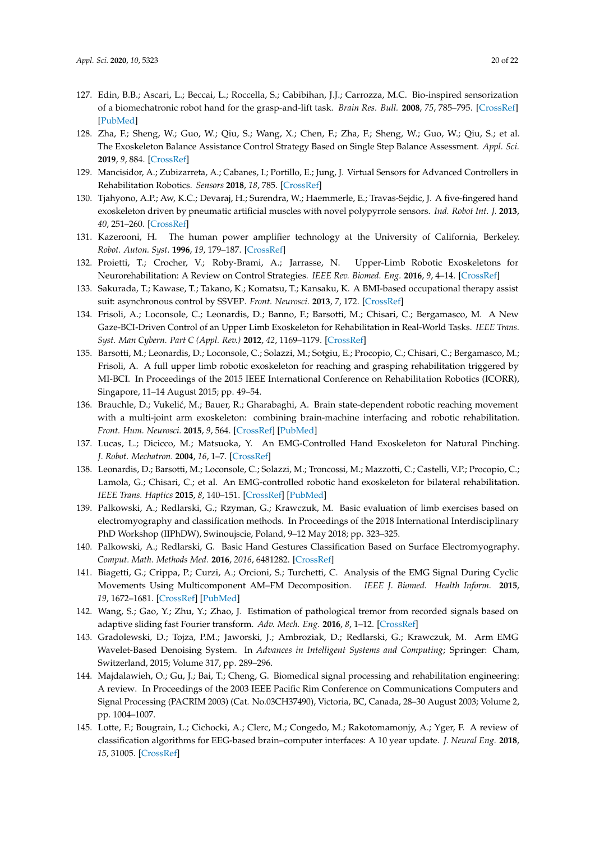- <span id="page-19-0"></span>127. Edin, B.B.; Ascari, L.; Beccai, L.; Roccella, S.; Cabibihan, J.J.; Carrozza, M.C. Bio-inspired sensorization of a biomechatronic robot hand for the grasp-and-lift task. *Brain Res. Bull.* **2008**, *75*, 785–795. [\[CrossRef\]](http://dx.doi.org/10.1016/j.brainresbull.2008.01.017) [\[PubMed\]](http://www.ncbi.nlm.nih.gov/pubmed/18394525)
- <span id="page-19-1"></span>128. Zha, F.; Sheng, W.; Guo, W.; Qiu, S.; Wang, X.; Chen, F.; Zha, F.; Sheng, W.; Guo, W.; Qiu, S.; et al. The Exoskeleton Balance Assistance Control Strategy Based on Single Step Balance Assessment. *Appl. Sci.* **2019**, *9*, 884. [\[CrossRef\]](http://dx.doi.org/10.3390/app9050884)
- <span id="page-19-2"></span>129. Mancisidor, A.; Zubizarreta, A.; Cabanes, I.; Portillo, E.; Jung, J. Virtual Sensors for Advanced Controllers in Rehabilitation Robotics. *Sensors* **2018**, *18*, 785. [\[CrossRef\]](http://dx.doi.org/10.3390/s18030785)
- <span id="page-19-3"></span>130. Tjahyono, A.P.; Aw, K.C.; Devaraj, H.; Surendra, W.; Haemmerle, E.; Travas-Sejdic, J. A five-fingered hand exoskeleton driven by pneumatic artificial muscles with novel polypyrrole sensors. *Ind. Robot Int. J.* **2013**, *40*, 251–260. [\[CrossRef\]](http://dx.doi.org/10.1108/01439911311309951)
- <span id="page-19-4"></span>131. Kazerooni, H. The human power amplifier technology at the University of California, Berkeley. *Robot. Auton. Syst.* **1996**, *19*, 179–187. [\[CrossRef\]](http://dx.doi.org/10.1016/S0921-8890(96)00045-0)
- <span id="page-19-5"></span>132. Proietti, T.; Crocher, V.; Roby-Brami, A.; Jarrasse, N. Upper-Limb Robotic Exoskeletons for Neurorehabilitation: A Review on Control Strategies. *IEEE Rev. Biomed. Eng.* **2016**, *9*, 4–14. [\[CrossRef\]](http://dx.doi.org/10.1109/RBME.2016.2552201)
- 133. Sakurada, T.; Kawase, T.; Takano, K.; Komatsu, T.; Kansaku, K. A BMI-based occupational therapy assist suit: asynchronous control by SSVEP. *Front. Neurosci.* **2013**, *7*, 172. [\[CrossRef\]](http://dx.doi.org/10.3389/fnins.2013.00172)
- 134. Frisoli, A.; Loconsole, C.; Leonardis, D.; Banno, F.; Barsotti, M.; Chisari, C.; Bergamasco, M. A New Gaze-BCI-Driven Control of an Upper Limb Exoskeleton for Rehabilitation in Real-World Tasks. *IEEE Trans. Syst. Man Cybern. Part C (Appl. Rev.)* **2012**, *42*, 1169–1179. [\[CrossRef\]](http://dx.doi.org/10.1109/TSMCC.2012.2226444)
- 135. Barsotti, M.; Leonardis, D.; Loconsole, C.; Solazzi, M.; Sotgiu, E.; Procopio, C.; Chisari, C.; Bergamasco, M.; Frisoli, A. A full upper limb robotic exoskeleton for reaching and grasping rehabilitation triggered by MI-BCI. In Proceedings of the 2015 IEEE International Conference on Rehabilitation Robotics (ICORR), Singapore, 11–14 August 2015; pp. 49–54.
- <span id="page-19-6"></span>136. Brauchle, D.; Vukelić, M.; Bauer, R.; Gharabaghi, A. Brain state-dependent robotic reaching movement with a multi-joint arm exoskeleton: combining brain-machine interfacing and robotic rehabilitation. *Front. Hum. Neurosci.* **2015**, *9*, 564. [\[CrossRef\]](http://dx.doi.org/10.3389/fnhum.2015.00564) [\[PubMed\]](http://www.ncbi.nlm.nih.gov/pubmed/26528168)
- <span id="page-19-7"></span>137. Lucas, L.; Dicicco, M.; Matsuoka, Y. An EMG-Controlled Hand Exoskeleton for Natural Pinching. *J. Robot. Mechatron.* **2004**, *16*, 1–7. [\[CrossRef\]](http://dx.doi.org/10.20965/jrm.2004.p0482)
- <span id="page-19-8"></span>138. Leonardis, D.; Barsotti, M.; Loconsole, C.; Solazzi, M.; Troncossi, M.; Mazzotti, C.; Castelli, V.P.; Procopio, C.; Lamola, G.; Chisari, C.; et al. An EMG-controlled robotic hand exoskeleton for bilateral rehabilitation. *IEEE Trans. Haptics* **2015**, *8*, 140–151. [\[CrossRef\]](http://dx.doi.org/10.1109/TOH.2015.2417570) [\[PubMed\]](http://www.ncbi.nlm.nih.gov/pubmed/25838528)
- <span id="page-19-9"></span>139. Palkowski, A.; Redlarski, G.; Rzyman, G.; Krawczuk, M. Basic evaluation of limb exercises based on electromyography and classification methods. In Proceedings of the 2018 International Interdisciplinary PhD Workshop (IIPhDW), Swinoujscie, Poland, 9–12 May 2018; pp. 323–325.
- <span id="page-19-10"></span>140. Palkowski, A.; Redlarski, G. Basic Hand Gestures Classification Based on Surface Electromyography. *Comput. Math. Methods Med.* **2016**, *2016*, 6481282. [\[CrossRef\]](http://dx.doi.org/10.1155/2016/6481282)
- <span id="page-19-11"></span>141. Biagetti, G.; Crippa, P.; Curzi, A.; Orcioni, S.; Turchetti, C. Analysis of the EMG Signal During Cyclic Movements Using Multicomponent AM–FM Decomposition. *IEEE J. Biomed. Health Inform.* **2015**, *19*, 1672–1681. [\[CrossRef\]](http://dx.doi.org/10.1109/JBHI.2014.2356340) [\[PubMed\]](http://www.ncbi.nlm.nih.gov/pubmed/25216489)
- <span id="page-19-12"></span>142. Wang, S.; Gao, Y.; Zhu, Y.; Zhao, J. Estimation of pathological tremor from recorded signals based on adaptive sliding fast Fourier transform. *Adv. Mech. Eng.* **2016**, *8*, 1–12. [\[CrossRef\]](http://dx.doi.org/10.1177/1687814016654872)
- <span id="page-19-13"></span>143. Gradolewski, D.; Tojza, P.M.; Jaworski, J.; Ambroziak, D.; Redlarski, G.; Krawczuk, M. Arm EMG Wavelet-Based Denoising System. In *Advances in Intelligent Systems and Computing*; Springer: Cham, Switzerland, 2015; Volume 317, pp. 289–296.
- <span id="page-19-14"></span>144. Majdalawieh, O.; Gu, J.; Bai, T.; Cheng, G. Biomedical signal processing and rehabilitation engineering: A review. In Proceedings of the 2003 IEEE Pacific Rim Conference on Communications Computers and Signal Processing (PACRIM 2003) (Cat. No.03CH37490), Victoria, BC, Canada, 28–30 August 2003; Volume 2, pp. 1004–1007.
- <span id="page-19-15"></span>145. Lotte, F.; Bougrain, L.; Cichocki, A.; Clerc, M.; Congedo, M.; Rakotomamonjy, A.; Yger, F. A review of classification algorithms for EEG-based brain–computer interfaces: A 10 year update. *J. Neural Eng.* **2018**, *15*, 31005. [\[CrossRef\]](http://dx.doi.org/10.1088/1741-2552/aab2f2)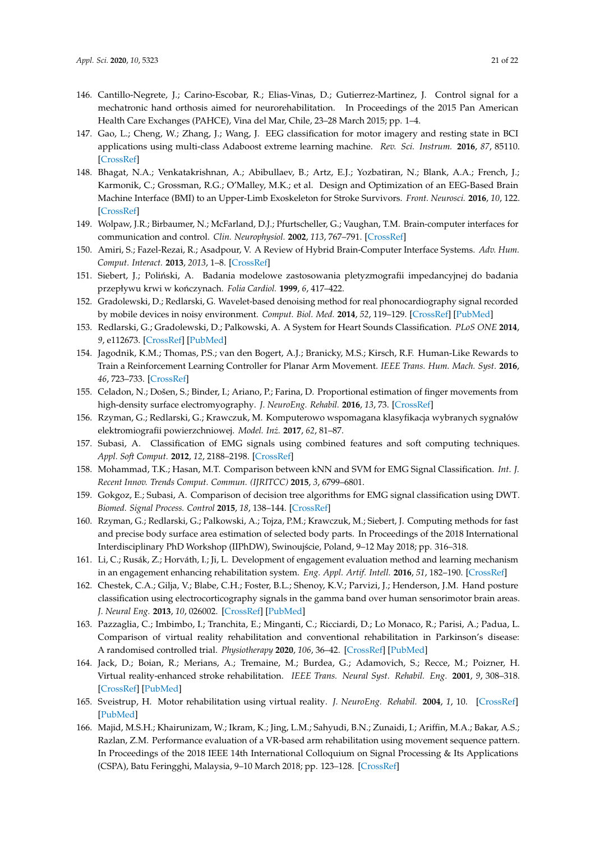- <span id="page-20-0"></span>146. Cantillo-Negrete, J.; Carino-Escobar, R.; Elias-Vinas, D.; Gutierrez-Martinez, J. Control signal for a mechatronic hand orthosis aimed for neurorehabilitation. In Proceedings of the 2015 Pan American Health Care Exchanges (PAHCE), Vina del Mar, Chile, 23–28 March 2015; pp. 1–4.
- <span id="page-20-1"></span>147. Gao, L.; Cheng, W.; Zhang, J.; Wang, J. EEG classification for motor imagery and resting state in BCI applications using multi-class Adaboost extreme learning machine. *Rev. Sci. Instrum.* **2016**, *87*, 85110. [\[CrossRef\]](http://dx.doi.org/10.1063/1.4959983)
- <span id="page-20-2"></span>148. Bhagat, N.A.; Venkatakrishnan, A.; Abibullaev, B.; Artz, E.J.; Yozbatiran, N.; Blank, A.A.; French, J.; Karmonik, C.; Grossman, R.G.; O'Malley, M.K.; et al. Design and Optimization of an EEG-Based Brain Machine Interface (BMI) to an Upper-Limb Exoskeleton for Stroke Survivors. *Front. Neurosci.* **2016**, *10*, 122. [\[CrossRef\]](http://dx.doi.org/10.3389/fnins.2016.00122)
- <span id="page-20-3"></span>149. Wolpaw, J.R.; Birbaumer, N.; McFarland, D.J.; Pfurtscheller, G.; Vaughan, T.M. Brain-computer interfaces for communication and control. *Clin. Neurophysiol.* **2002**, *113*, 767–791. [\[CrossRef\]](http://dx.doi.org/10.1016/S1388-2457(02)00057-3)
- <span id="page-20-4"></span>150. Amiri, S.; Fazel-Rezai, R.; Asadpour, V. A Review of Hybrid Brain-Computer Interface Systems. *Adv. Hum. Comput. Interact.* **2013**, *2013*, 1–8. [\[CrossRef\]](http://dx.doi.org/10.1155/2013/187024)
- <span id="page-20-5"></span>151. Siebert, J.; Poliński, A. Badania modelowe zastosowania pletyzmografii impedancyjnej do badania przepływu krwi w kończynach. *Folia Cardiol*. **1999**, 6, 417–422.
- <span id="page-20-6"></span>152. Gradolewski, D.; Redlarski, G. Wavelet-based denoising method for real phonocardiography signal recorded by mobile devices in noisy environment. *Comput. Biol. Med.* **2014**, *52*, 119–129. [\[CrossRef\]](http://dx.doi.org/10.1016/j.compbiomed.2014.06.011) [\[PubMed\]](http://www.ncbi.nlm.nih.gov/pubmed/25038586)
- <span id="page-20-7"></span>153. Redlarski, G.; Gradolewski, D.; Palkowski, A. A System for Heart Sounds Classification. *PLoS ONE* **2014**, *9*, e112673. [\[CrossRef\]](http://dx.doi.org/10.1371/journal.pone.0112673) [\[PubMed\]](http://www.ncbi.nlm.nih.gov/pubmed/25393113)
- <span id="page-20-8"></span>154. Jagodnik, K.M.; Thomas, P.S.; van den Bogert, A.J.; Branicky, M.S.; Kirsch, R.F. Human-Like Rewards to Train a Reinforcement Learning Controller for Planar Arm Movement. *IEEE Trans. Hum. Mach. Syst.* **2016**, *46*, 723–733. [\[CrossRef\]](http://dx.doi.org/10.1109/THMS.2016.2558630)
- <span id="page-20-9"></span>155. Celadon, N.; Došen, S.; Binder, I.; Ariano, P.; Farina, D. Proportional estimation of finger movements from high-density surface electromyography. *J. NeuroEng. Rehabil.* **2016**, *13*, 73. [\[CrossRef\]](http://dx.doi.org/10.1186/s12984-016-0172-3)
- <span id="page-20-10"></span>156. Rzyman, G.; Redlarski, G.; Krawczuk, M. Komputerowo wspomagana klasyfikacja wybranych sygnałów elektromiografii powierzchniowej. *Model. Inz.˙* **2017**, *62*, 81–87.
- <span id="page-20-11"></span>157. Subasi, A. Classification of EMG signals using combined features and soft computing techniques. *Appl. Soft Comput.* **2012**, *12*, 2188–2198. [\[CrossRef\]](http://dx.doi.org/10.1016/j.asoc.2012.03.035)
- <span id="page-20-12"></span>158. Mohammad, T.K.; Hasan, M.T. Comparison between kNN and SVM for EMG Signal Classification. *Int. J. Recent Innov. Trends Comput. Commun. (IJRITCC)* **2015**, *3*, 6799–6801.
- <span id="page-20-13"></span>159. Gokgoz, E.; Subasi, A. Comparison of decision tree algorithms for EMG signal classification using DWT. *Biomed. Signal Process. Control* **2015**, *18*, 138–144. [\[CrossRef\]](http://dx.doi.org/10.1016/j.bspc.2014.12.005)
- <span id="page-20-14"></span>160. Rzyman, G.; Redlarski, G.; Palkowski, A.; Tojza, P.M.; Krawczuk, M.; Siebert, J. Computing methods for fast and precise body surface area estimation of selected body parts. In Proceedings of the 2018 International Interdisciplinary PhD Workshop (IIPhDW), Swinoujście, Poland, 9–12 May 2018; pp. 316–318.
- <span id="page-20-15"></span>161. Li, C.; Rusák, Z.; Horváth, I.; Ji, L. Development of engagement evaluation method and learning mechanism in an engagement enhancing rehabilitation system. *Eng. Appl. Artif. Intell.* **2016**, *51*, 182–190. [\[CrossRef\]](http://dx.doi.org/10.1016/j.engappai.2016.01.021)
- <span id="page-20-16"></span>162. Chestek, C.A.; Gilja, V.; Blabe, C.H.; Foster, B.L.; Shenoy, K.V.; Parvizi, J.; Henderson, J.M. Hand posture classification using electrocorticography signals in the gamma band over human sensorimotor brain areas. *J. Neural Eng.* **2013**, *10*, 026002. [\[CrossRef\]](http://dx.doi.org/10.1088/1741-2560/10/2/026002) [\[PubMed\]](http://www.ncbi.nlm.nih.gov/pubmed/23369953)
- <span id="page-20-17"></span>163. Pazzaglia, C.; Imbimbo, I.; Tranchita, E.; Minganti, C.; Ricciardi, D.; Lo Monaco, R.; Parisi, A.; Padua, L. Comparison of virtual reality rehabilitation and conventional rehabilitation in Parkinson's disease: A randomised controlled trial. *Physiotherapy* **2020**, *106*, 36–42. [\[CrossRef\]](http://dx.doi.org/10.1016/j.physio.2019.12.007) [\[PubMed\]](http://www.ncbi.nlm.nih.gov/pubmed/32026844)
- 164. Jack, D.; Boian, R.; Merians, A.; Tremaine, M.; Burdea, G.; Adamovich, S.; Recce, M.; Poizner, H. Virtual reality-enhanced stroke rehabilitation. *IEEE Trans. Neural Syst. Rehabil. Eng.* **2001**, *9*, 308–318. [\[CrossRef\]](http://dx.doi.org/10.1109/7333.948460) [\[PubMed\]](http://www.ncbi.nlm.nih.gov/pubmed/11561668)
- 165. Sveistrup, H. Motor rehabilitation using virtual reality. *J. NeuroEng. Rehabil.* **2004**, *1*, 10. [\[CrossRef\]](http://dx.doi.org/10.1186/1743-0003-1-10) [\[PubMed\]](http://www.ncbi.nlm.nih.gov/pubmed/15679945)
- 166. Majid, M.S.H.; Khairunizam, W.; Ikram, K.; Jing, L.M.; Sahyudi, B.N.; Zunaidi, I.; Ariffin, M.A.; Bakar, A.S.; Razlan, Z.M. Performance evaluation of a VR-based arm rehabilitation using movement sequence pattern. In Proceedings of the 2018 IEEE 14th International Colloquium on Signal Processing & Its Applications (CSPA), Batu Feringghi, Malaysia, 9–10 March 2018; pp. 123–128. [\[CrossRef\]](http://dx.doi.org/10.1109/CSPA.2018.8368698)